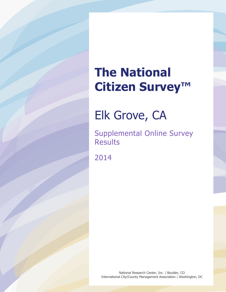Elk Grove, CA

Supplemental Online Survey Results

2014

National Research Center, Inc. | Boulder, CO International City/County Management Association | Washington, DC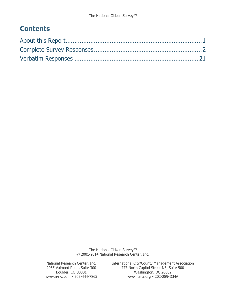# **Contents**

The National Citizen Survey<sup>™</sup> © 2001-2014 National Research Center, Inc.

National Research Center, Inc. International City/County Management Association<br>2955 Valmont Road, Suite 300 777 North Capitol Street NE, Suite 500 2955 Valmont Road, Suite 300 777 North Capitol Street NE, Suite 500 Boulder, CO 80301 Washington, DC 20002<br>www.n-r-c.com • 303-444-7863 www.icma.org • 202-289-IC www.icma.org • 202-289-ICMA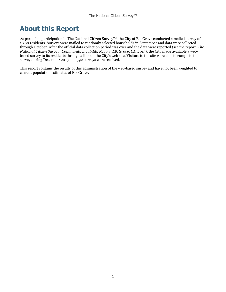# <span id="page-2-0"></span>**About this Report**

As part of its participation in The National Citizen Survey™, the City of Elk Grove conducted a mailed survey of 1,200 residents. Surveys were mailed to randomly selected households in September and data were collected through October. After the official data collection period was over and the data were reported (see the report, *The National Citizen Survey: Community Livability Report, Elk Grove, CA, 2013*), the City made available a webbased survey to its residents through a link on the City's web site. Visitors to the site were able to complete the survey during December 2013 and 392 surveys were received.

This report contains the results of this administration of the web-based survey and have not been weighted to current population estimates of Elk Grove.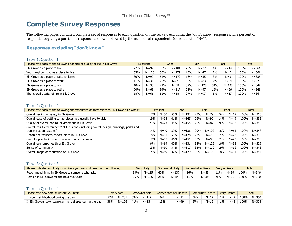# **Complete Survey Responses**

The following pages contain a complete set of responses to each question on the survey, excluding the "don't know" responses. The percent of respondents giving a particular response is shown followed by the number of respondents (denoted with "N=").

# **Responses excluding "don't know"**

#### Table 1: Question 1

| Please rate each of the following aspects of quality of life in Elk Grove: | Excellent |           |            | Good      |     | Fair      |     | Poor      | <b>Total</b> |           |
|----------------------------------------------------------------------------|-----------|-----------|------------|-----------|-----|-----------|-----|-----------|--------------|-----------|
| Elk Grove as a place to live                                               | 27%       | $N = 97$  | 50%        | $N = 181$ | 20% | $N = 72$  | 4%  | $N = 14$  | 100%         | $N = 364$ |
| Your neighborhood as a place to live                                       | 35%       | $N = 128$ | 50%        | $N = 179$ | 13% | $N = 47$  | 2%  | $N=7$     | 100%         | $N = 361$ |
| Elk Grove as a place to raise children                                     | 30%       | $N = 99$  | 51%        | $N = 172$ | 16% | $N = 55$  | 3%  | $N=9$     | 100%         | $N = 335$ |
| Elk Grove as a place to work                                               | 11%       | $N = 31$  | 25%        | $N = 71$  | 30% | $N = 83$  | 34% | $N = 94$  | 100%         | $N = 279$ |
| Elk Grove as a place to visit                                              | 10%       | $N = 33$  | <b>22%</b> | $N = 78$  | 37% | $N = 128$ | 31% | $N = 108$ | 100%         | $N = 347$ |
| Elk Grove as a place to retire                                             | 20%       | $N = 68$  | 34%        | $N = 117$ | 28% | $N = 97$  | 19% | $N = 66$  | 100%         | $N = 348$ |
| The overall quality of life in Elk Grove                                   | 18%       | $N = 66$  | 51%        | $N = 184$ | 27% | $N=97$    | 5%  | $N = 17$  | 100%         | $N = 364$ |

#### <span id="page-3-0"></span>Table 2: Question 2

| Please rate each of the following characteristics as they relate to Elk Grove as a whole:                           |     | <b>Excellent</b> |     | Good      |     | Fair      | Poor |          | Total |           |
|---------------------------------------------------------------------------------------------------------------------|-----|------------------|-----|-----------|-----|-----------|------|----------|-------|-----------|
| Overall feeling of safety in Elk Grove                                                                              | 17% | $N = 60$         | 55% | $N = 192$ | 23% | $N = 79$  | 5%   | $N = 19$ | 100%  | $N = 350$ |
| Overall ease of getting to the places you usually have to visit                                                     | 19% | $N = 68$         | 41% | $N = 145$ | 26% | $N = 90$  | 14%  | $N=49$   | 100%  | $N = 352$ |
| Quality of overall natural environment in Elk Grove                                                                 | 21% | $N = 73$         | 45% | $N = 155$ | 25% | $N = 87$  | 9%   | $N = 33$ | 100%  | $N = 348$ |
| Overall "built environment" of Elk Grove (including overall design, buildings, parks and<br>transportation systems) | 14% | $N = 49$         | 39% | $N = 136$ | 29% | $N = 102$ | 18%  | $N = 61$ | 100%  | $N = 348$ |
| Health and wellness opportunities in Elk Grove                                                                      | 18% | $N = 61$         | 53% | $N = 178$ | 22% | $N = 73$  | 7%   | $N = 23$ | 100%  | $N = 335$ |
| Overall opportunities for education and enrichment                                                                  | 17% | $N = 55$         | 46% | $N = 151$ | 30% | $N = 99$  | 7%   | $N = 23$ | 100%  | $N = 328$ |
| Overall economic health of Elk Grove                                                                                | 6%  | $N = 19$         | 40% | $N = 131$ | 38% | $N = 126$ | 16%  | $N = 53$ | 100%  | $N = 329$ |
| Sense of community                                                                                                  | 15% | $N = 50$         | 34% | $N = 117$ | 32% | $N = 110$ | 19%  | $N = 66$ | 100%  | N=343     |
| Overall image or reputation of Elk Grove                                                                            | 14% | $N = 49$         | 37% | $N = 129$ | 30% | $N = 105$ | 18%  | $N = 64$ | 100%  | N=347     |

#### Table 3: Question 3

| Please indicate how likely or unlikely you are to do each of the following: | Very likely |           | Somewhat likely |           |     | Somewhat unlikely<br>Very unlikely |     |          | Total |           |  |
|-----------------------------------------------------------------------------|-------------|-----------|-----------------|-----------|-----|------------------------------------|-----|----------|-------|-----------|--|
| Recommend living in Elk Grove to someone who asks                           | 33%         | $N = 115$ | 40%             | $N = 137$ | 16% | $N = 55$                           | 11% | $N = 39$ | 100%  | $N = 346$ |  |
| Remain in Elk Grove for the next five vears                                 | 55%         | $N = 186$ | 25%             | $N = 84$  | 11% | $N = 39$                           | 9%  | $N = 31$ | 100%  | $N = 340$ |  |

#### Table 4: Question 4

| Please rate how safe or unsafe you feel:               |     | Very safe |     | Neither safe nor unsafe<br>Somewhat safe |     |          | Somewhat unsafe |          | Very unsafe |       | Total |           |
|--------------------------------------------------------|-----|-----------|-----|------------------------------------------|-----|----------|-----------------|----------|-------------|-------|-------|-----------|
| In your neighborhood during the day                    | 57% | N=201     | 33% | $N = 114$                                | 6%  | $N = 21$ | 3%              | $N = 12$ | $1\%$       | $N=2$ | 100%  | $N = 350$ |
| In Elk Grove's downtown/commercial area during the day | 38% | N=126     | 41% | $N = 134$                                | 15% | $N = 49$ | 5%              | $N = 16$ | $1\%$       | $N=3$ | 100%  | $N = 328$ |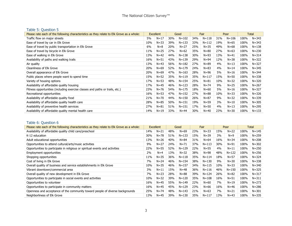# Table 5: Question 5

| Please rate each of the following characteristics as they relate to Elk Grove as a whole: |     | Excellent | Good |           | Fair |           | Poor |           | <b>Total</b> |           |
|-------------------------------------------------------------------------------------------|-----|-----------|------|-----------|------|-----------|------|-----------|--------------|-----------|
| Traffic flow on major streets                                                             | 5%  | $N = 17$  | 30%  | $N = 102$ | 34%  | $N = 118$ | 31%  | $N = 106$ | 100%         | $N = 343$ |
| Ease of travel by car in Elk Grove                                                        | 10% | $N = 33$  | 39%  | $N = 133$ | 33%  | $N = 112$ | 19%  | $N = 65$  | 100%         | $N = 343$ |
| Ease of travel by public transportation in Elk Grove                                      | 6%  | $N=8$     | 20%  | $N = 27$  | 25%  | $N = 35$  | 49%  | $N = 68$  | 100%         | $N = 138$ |
| Ease of travel by bicycle in Elk Grove                                                    | 11% | $N = 25$  | 27%  | $N = 62$  | 35%  | $N = 80$  | 27%  | $N = 63$  | 100%         | $N = 230$ |
| Ease of walking in Elk Grove                                                              | 13% | $N=42$    | 44%  | $N = 138$ | 30%  | $N = 93$  | 13%  | $N = 41$  | 100%         | $N = 314$ |
| Availability of paths and walking trails                                                  | 16% | $N = 51$  | 43%  | $N = 139$ | 29%  | $N = 94$  | 12%  | $N = 38$  | 100%         | $N = 322$ |
| Air quality                                                                               | 13% | $N = 43$  | 56%  | $N = 182$ | 27%  | $N = 89$  | 4%   | $N = 13$  | 100%         | N=327     |
| Cleanliness of Elk Grove                                                                  | 20% | $N = 69$  | 52%  | $N = 179$ | 24%  | $N = 83$  | 4%   | $N = 14$  | 100%         | $N = 345$ |
| Overall appearance of Elk Grove                                                           | 20% | $N = 69$  | 47%  | $N = 163$ | 28%  | $N = 96$  | 5%   | $N = 16$  | 100%         | $N = 344$ |
| Public places where people want to spend time                                             | 15% | $N = 52$  | 35%  | $N = 119$ | 35%  | $N = 117$ | 15%  | $N = 50$  | 100%         | $N = 338$ |
| Variety of housing options                                                                | 17% | $N = 53$  | 48%  | $N = 154$ | 25%  | $N = 81$  | 10%  | $N = 32$  | 100%         | $N = 320$ |
| Availability of affordable quality housing                                                | 17% | $N=45$    | 46%  | $N = 123$ | 28%  | $N = 74$  | 9%   | $N = 25$  | 100%         | $N = 267$ |
| Fitness opportunities (including exercise classes and paths or trails, etc.)              | 23% | $N = 76$  | 54%  | $N = 175$ | 18%  | $N = 60$  | 5%   | $N = 16$  | 100%         | $N = 327$ |
| Recreational opportunities                                                                | 16% | $N = 53$  | 47%  | $N = 152$ | 27%  | $N = 88$  | 10%  | $N = 33$  | 100%         | $N = 326$ |
| Availability of affordable quality food                                                   | 21% | $N = 70$  | 44%  | $N = 150$ | 26%  | $N = 87$  | 9%   | $N = 32$  | 100%         | $N = 339$ |
| Availability of affordable quality health care                                            | 28% | $N = 85$  | 50%  | $N = 151$ | 19%  | $N = 59$  | 3%   | $N=10$    | 100%         | $N = 305$ |
| Availability of preventive health services                                                | 27% | $N = 81$  | 51%  | $N = 151$ | 17%  | $N = 50$  | 4%   | $N = 13$  | 100%         | $N = 295$ |
| Availability of affordable quality mental health care                                     | 14% | $N = 19$  | 33%  | $N=44$    | 30%  | $N = 40$  | 23%  | $N = 30$  | 100%         | $N = 133$ |

# Table 6: Question 6

| Please rate each of the following characteristics as they relate to Elk Grove as a whole: | <b>Excellent</b> |          | Good |           | Fair |           | Poor |           |      | Total     |
|-------------------------------------------------------------------------------------------|------------------|----------|------|-----------|------|-----------|------|-----------|------|-----------|
| Availability of affordable quality child care/preschool                                   | 14%              | $N=21$   | 48%  | $N = 69$  | 23%  | $N = 33$  | 15%  | $N=22$    | 100% | $N = 145$ |
| K-12 education                                                                            | 30%              | $N = 78$ | 51%  | $N = 133$ | 15%  | $N = 39$  | 3%   | $N=9$     | 100% | $N = 259$ |
| Adult educational opportunities                                                           | 13%              | $N = 26$ | 40%  | $N = 84$  | 31%  | $N = 64$  | 16%  | $N = 34$  | 100% | $N = 208$ |
| Opportunities to attend cultural/arts/music activities                                    | 9%               | $N = 27$ | 24%  | $N = 71$  | 37%  | $N = 113$ | 30%  | $N = 91$  | 100% | $N = 302$ |
| Opportunities to participate in religious or spiritual events and activities              | 22%              | $N = 55$ | 52%  | $N = 129$ | 22%  | $N = 55$  | 4%   | $N=11$    | 100% | $N = 250$ |
| Employment opportunities                                                                  | 2%               | $N=4$    | 13%  | $N = 32$  | 38%  | $N = 98$  | 48%  | $N = 122$ | 100% | $N = 256$ |
| Shopping opportunities                                                                    | 11%              | $N = 35$ | 36%  | $N = 118$ | 35%  | $N = 114$ | 18%  | $N = 57$  | 100% | $N = 324$ |
| Cost of living in Elk Grove                                                               | 7%               | $N = 24$ | 46%  | $N = 154$ | 38%  | $N = 130$ | 9%   | $N = 30$  | 100% | $N = 338$ |
| Overall quality of business and service establishments in Elk Grove                       | 10%              | $N = 35$ | 46%  | $N = 157$ | 34%  | $N = 115$ | 10%  | $N = 33$  | 100% | $N = 340$ |
| Vibrant downtown/commercial area                                                          | 3%               | $N=11$   | 15%  | $N = 48$  | 36%  | $N = 116$ | 46%  | $N = 150$ | 100% | $N = 325$ |
| Overall quality of new development in Elk Grove                                           | 7%               | $N = 23$ | 28%  | $N = 88$  | 39%  | $N = 124$ | 26%  | $N = 82$  | 100% | $N = 317$ |
| Opportunities to participate in social events and activities                              | 10%              | $N = 32$ | 39%  | $N = 120$ | 35%  | $N = 108$ | 16%  | $N = 51$  | 100% | $N = 311$ |
| Opportunities to volunteer                                                                | 16%              | $N=45$   | 55%  | $N = 149$ | 22%  | $N=60$    | 7%   | $N = 19$  | 100% | $N = 273$ |
| Opportunities to participate in community matters                                         | 16%              | $N=45$   | 45%  | $N = 129$ | 23%  | $N = 66$  | 16%  | $N = 46$  | 100% | $N = 286$ |
| Openness and acceptance of the community toward people of diverse backgrounds             | 25%              | $N = 74$ | 48%  | $N = 143$ | 21%  | $N = 63$  | 7%   | $N = 21$  | 100% | N=301     |
| Neighborliness of Elk Grove                                                               | 13%              | $N=45$   | 39%  | $N = 130$ | 35%  | $N = 117$ | 13%  | $N = 43$  | 100% | $N = 335$ |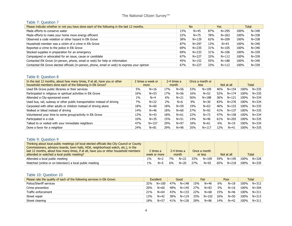#### Table 7: Question 7

| Please indicate whether or not you have done each of the following in the last 12 months.      |     | <b>No</b> |     | Yes       |      | Total     |
|------------------------------------------------------------------------------------------------|-----|-----------|-----|-----------|------|-----------|
| Made efforts to conserve water                                                                 | 13% | $N=45$    | 87% | $N = 295$ | 100% | N=340     |
| Made efforts to make your home more energy efficient                                           | 22% | $N = 75$  | 78% | $N = 263$ | 100% | $N = 338$ |
| Observed a code violation or other hazard in Elk Grove                                         | 38% | $N = 129$ | 62% | $N = 209$ | 100% | $N = 338$ |
| Household member was a victim of a crime in Elk Grove                                          | 87% | $N = 297$ | 13% | $N = 43$  | 100% | $N = 340$ |
| Reported a crime to the police in Elk Grove                                                    | 69% | $N = 235$ | 31% | $N = 105$ | 100% | $N = 340$ |
| Stocked supplies in preparation for an emergency                                               | 69% | $N = 233$ | 31% | $N = 106$ | 100% | $N = 339$ |
| Campaigned or advocated for an issue, cause or candidate                                       | 67% | $N = 227$ | 33% | $N = 112$ | 100% | $N = 339$ |
| Contacted Elk Grove (in-person, phone, email or web) for help or information                   | 45% | $N = 152$ | 55% | $N = 188$ | 100% | $N = 340$ |
| Contacted Elk Grove elected officials (in-person, phone, email or web) to express your opinion | 67% | $N = 227$ | 33% | $N = 112$ | 100% | $N = 339$ |

#### Table 8: Question 8

| In the last 12 months, about how many times, if at all, have you or other<br>household members done each of the following in Elk Grove? | 2 times a week or<br>more |           | 2-4 times a<br>month |          |     | Once a month or<br>less |     | Not at all |      | <b>Total</b> |
|-----------------------------------------------------------------------------------------------------------------------------------------|---------------------------|-----------|----------------------|----------|-----|-------------------------|-----|------------|------|--------------|
| Used Elk Grove public libraries or their services                                                                                       | 5%                        | $N = 16$  | 17%                  | $N = 56$ | 33% | $N = 109$               | 46% | $N = 154$  | 100% | $N = 335$    |
| Participated in religious or spiritual activities in Elk Grove                                                                          | 16%                       | $N = 53$  | 17%                  | $N = 56$ | 16% | $N = 52$                | 52% | $N = 174$  | 100% | $N = 335$    |
| Attended a City-sponsored event                                                                                                         | $1\%$                     | $N=4$     | 6%                   | $N = 21$ | 56% | $N = 188$               | 36% | $N = 121$  | 100% | $N = 334$    |
| Used bus, rail, subway or other public transportation instead of driving                                                                | 7%                        | $N=22$    | 2%                   | $N=6$    | 9%  | $N = 30$                | 83% | $N = 276$  | 100% | $N = 334$    |
| Carpooled with other adults or children instead of driving alone                                                                        | 18%                       | $N = 60$  | 18%                  | $N = 59$ | 19% | $N = 63$                | 46% | $N = 153$  | 100% | N=335        |
| Walked or biked instead of driving                                                                                                      | 14%                       | $N = 46$  | 18%                  | $N = 60$ | 27% | $N = 92$                | 41% | $N = 137$  | 100% | N=335        |
| Volunteered your time to some group/activity in Elk Grove                                                                               | 13%                       | $N = 43$  | 18%                  | $N = 61$ | 22% | $N = 72$                | 47% | $N = 158$  | 100% | $N = 334$    |
| Participated in a club                                                                                                                  | 10%                       | $N = 35$  | 15%                  | $N = 51$ | 14% | $N = 46$                | 61% | $N = 203$  | 100% | $N = 335$    |
| Talked to or visited with your immediate neighbors                                                                                      | 47%                       | $N = 157$ | 29%                  | $N = 97$ | 18% | $N = 61$                | 6%  | $N=19$     | 100% | $N = 334$    |
| Done a favor for a neighbor                                                                                                             | 24%                       | $N = 81$  | 29%                  | $N = 96$ | 35% | $N = 117$               | 12% | $N = 41$   | 100% | $N = 335$    |

# Table 9: Question 9

| Thinking about local public meetings (of local elected officials like City Council or County |       |              |    |             |     |              |     |            |      |           |
|----------------------------------------------------------------------------------------------|-------|--------------|----|-------------|-----|--------------|-----|------------|------|-----------|
| Commissioners, advisory boards, town halls, HOA, neighborhood watch, etc.), in the           |       |              |    |             |     |              |     |            |      |           |
| last 12 months, about how many times, if at all, have you or other household members         |       | 2 times a    |    | 2-4 times a |     | Once a month |     |            |      |           |
| attended or watched a local public meeting?                                                  |       | week or more |    | month       |     | or less      |     | Not at all |      | Total     |
| Attended a local public meeting                                                              | $1\%$ | $N=2$        | 7% | $N = 22$    | 33% | $N = 109$    | 59% | $N = 195$  | 100% | N=328     |
| Watched (online or on television) a local public meeting                                     | $1\%$ | $N = 5$      | 6% | $N = 20$    | 27% | $N = 92$     | 65% | $N = 218$  | 100% | $N = 335$ |

# Table 10: Question 10

| Please rate the quality of each of the following services in Elk Grove: |     | <b>Excellent</b> |     | Good      |     | Fair      |     | Poor     | Total |           |
|-------------------------------------------------------------------------|-----|------------------|-----|-----------|-----|-----------|-----|----------|-------|-----------|
| Police/Sheriff services                                                 | 32% | $N = 100$        | 47% | $N = 148$ | 15% | $N = 46$  | 6%  | $N=18$   | 100%  | $N = 312$ |
| Crime prevention                                                        | 20% | $N = 60$         | 48% | $N = 145$ | 27% | $N = 83$  | 5%  | $N = 16$ | 100%  | $N = 304$ |
| Traffic enforcement                                                     | 21% | $N = 64$         | 43% | $N = 133$ | 22% | $N = 68$  | 15% | $N = 46$ | 100%  | $N = 311$ |
| Street repair                                                           | 13% | $N = 42$         | 38% | $N = 119$ | 33% | $N = 102$ | 16% | $N = 50$ | 100%  | $N = 313$ |
| Street cleaning                                                         | 18% | $N = 57$         | 41% | $N = 126$ | 28% | $N = 86$  | 14% | $N = 42$ | 100%  | $N = 311$ |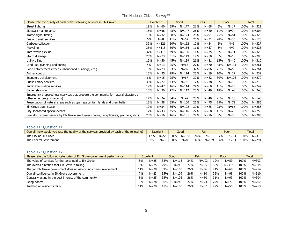| Please rate the quality of each of the following services in Elk Grove:                                             |     | Excellent | Good |           | Fair |          | Poor |           | <b>Total</b> |           |
|---------------------------------------------------------------------------------------------------------------------|-----|-----------|------|-----------|------|----------|------|-----------|--------------|-----------|
| Street lighting                                                                                                     | 19% | $N = 60$  | 55%  | $N = 177$ | 21%  | $N = 68$ | 5%   | $N = 17$  | 100%         | $N = 322$ |
| Sidewalk maintenance                                                                                                | 15% | $N = 46$  | 48%  | $N = 147$ | 26%  | $N = 80$ | 11%  | $N = 34$  | 100%         | $N = 307$ |
| Traffic signal timing                                                                                               | 10% | $N = 32$  | 38%  | $N = 124$ | 28%  | $N = 91$ | 25%  | $N = 81$  | 100%         | $N = 328$ |
| Bus or transit services                                                                                             | 6%  | $N = 8$   | 41%  | $N=52$    | 25%  | $N = 31$ | 28%  | $N = 35$  | 100%         | $N = 126$ |
| Garbage collection                                                                                                  | 39% | $N = 126$ | 50%  | $N = 162$ | 10%  | $N = 34$ | 2%   | $N = 5$   | 100%         | $N = 327$ |
| Recycling                                                                                                           | 35% | $N = 115$ | 50%  | $N = 164$ | 11%  | $N = 37$ | 3%   | $N=9$     | 100%         | $N = 325$ |
| Yard waste pick-up                                                                                                  | 37% | $N = 118$ | 49%  | $N = 156$ | 11%  | $N = 35$ | 3%   | $N = 11$  | 100%         | $N = 320$ |
| Storm drainage                                                                                                      | 25% | $N = 73$  | 51%  | $N = 149$ | 17%  | $N = 50$ | 6%   | $N = 18$  | 100%         | $N = 290$ |
| Utility billing                                                                                                     | 16% | $N = 50$  | 45%  | $N = 139$ | 26%  | $N = 81$ | 13%  | $N = 40$  | 100%         | $N = 310$ |
| Land use, planning and zoning                                                                                       | 5%  | $N = 13$  | 25%  | $N = 65$  | 27%  | $N = 70$ | 43%  | $N = 113$ | 100%         | $N = 261$ |
| Code enforcement (weeds, abandoned buildings, etc.)                                                                 | 9%  | $N = 23$  | 33%  | $N = 87$  | 37%  | $N = 96$ | 21%  | $N = 55$  | 100%         | $N = 261$ |
| Animal control                                                                                                      | 15% | $N = 35$  | 49%  | $N = 114$ | 25%  | $N = 59$ | 10%  | $N = 24$  | 100%         | $N = 232$ |
| Economic development                                                                                                | 6%  | $N = 15$  | 25%  | $N = 67$  | 30%  | $N = 82$ | 39%  | $N = 106$ | 100%         | $N = 270$ |
| Public library services                                                                                             | 35% | $N = 77$  | 43%  | $N=93$    | 17%  | $N = 38$ | 5%   | $N = 10$  | 100%         | $N = 218$ |
| Public information services                                                                                         | 19% | $N = 47$  | 46%  | $N = 114$ | 24%  | $N = 60$ | 11%  | $N = 26$  | 100%         | $N = 247$ |
| Cable television                                                                                                    | 15% | $N = 36$  | 47%  | $N = 112$ | 20%  | $N = 49$ | 18%  | $N = 43$  | 100%         | $N = 240$ |
| Emergency preparedness (services that prepare the community for natural disasters or<br>other emergency situations) | 17% | $N = 24$  | 34%  | $N = 49$  | 28%  | $N = 40$ | 21%  | $N = 30$  | 100%         | $N = 143$ |
| Preservation of natural areas such as open space, farmlands and greenbelts                                          | 13% | $N = 38$  | 35%  | $N = 100$ | 26%  | $N = 75$ | 25%  | $N = 72$  | 100%         | $N = 285$ |
| Elk Grove open space                                                                                                | 12% | $N = 34$  | 36%  | $N = 102$ | 30%  | $N = 85$ | 23%  | $N = 65$  | 100%         | $N = 286$ |
| City-sponsored special events                                                                                       | 17% | $N = 43$  | 45%  | $N = 116$ | 27%  | $N = 68$ | 11%  | $N = 28$  | 100%         | $N = 255$ |
| Overall customer service by Elk Grove employees (police, receptionists, planners, etc.)                             | 20% | $N = 56$  | 46%  | $N = 131$ | 27%  | $N = 76$ | 8%   | $N = 23$  | 100%         | $N = 286$ |

# Table 11: Question 11

| Overall, how would you rate the quality of the services provided by each of the following? |       | <b>Excellent</b> |            | Good               | <b>Fair</b> | Poor |                          | <b>Total</b> |
|--------------------------------------------------------------------------------------------|-------|------------------|------------|--------------------|-------------|------|--------------------------|--------------|
| The City of Elk Grove                                                                      | 17% l |                  |            | N=54 50% N=158 26% | $N = 81$    |      | 7%   N=23   100%   N=316 |              |
| The Federal Government                                                                     | $1\%$ | $N=3$            | <b>30%</b> | N=86               | 37% N=109   |      | 32% N=93 100% N=291      |              |

#### Table 12: Question 12

| Please rate the following categories of Elk Grove government performance: |     | <b>Excellent</b> | Good |           |     |           |     |           |      |           |  |  | Fair |  | Poor |  | Total |  |
|---------------------------------------------------------------------------|-----|------------------|------|-----------|-----|-----------|-----|-----------|------|-----------|--|--|------|--|------|--|-------|--|
| The value of services for the taxes paid to Elk Grove                     | 8%  | $N=25$           | 38%  | $N = 116$ | 34% | $N = 103$ | 19% | $N = 59$  | 100% | $N = 303$ |  |  |      |  |      |  |       |  |
| The overall direction that Elk Grove is taking                            | 8%  | $N=25$           | 29%  | $N = 90$  | 27% | $N = 85$  | 36% | $N = 114$ | 100% | $N = 314$ |  |  |      |  |      |  |       |  |
| The job Elk Grove government does at welcoming citizen involvement        | 11% | $N = 28$         | 39%  | $N = 100$ | 26% | $N = 66$  | 24% | $N = 60$  | 100% | $N = 254$ |  |  |      |  |      |  |       |  |
| Overall confidence in Elk Grove government                                | 7%  | $N = 23$         | 35%  | $N = 109$ | 26% | $N = 80$  | 32% | $N = 98$  | 100% | $N = 310$ |  |  |      |  |      |  |       |  |
| Generally acting in the best interest of the community                    | 8%  | $N=25$           | 35%  | $N = 106$ | 26% | $N = 80$  | 31% | $N = 93$  | 100% | $N = 304$ |  |  |      |  |      |  |       |  |
| Being honest                                                              | 10% | $N = 28$         | 36%  | $N = 95$  | 27% | $N = 73$  | 27% | $N = 71$  | 100% | $N = 267$ |  |  |      |  |      |  |       |  |
| Treating all residents fairly                                             | 11% | $N = 28$         | 41%  | $N = 103$ | 26% | $N = 67$  | 22% | $N = 55$  | 100% | $N = 253$ |  |  |      |  |      |  |       |  |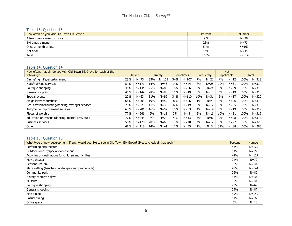#### Table 13: Question 13

| How often do you visit Old Town Elk Grove? | Percent | <b>Number</b> |
|--------------------------------------------|---------|---------------|
| A few times a week or more                 | 9%      | $N = 28$      |
| 2-4 times a month                          | 23%     | $N = 73$      |
| Once a month or less                       | 54%     | $N = 169$     |
| Not at all                                 | 14%     | $N = 44$      |
| Total                                      | 100%    | $N = 314$     |

#### Table 14: Question 14

| How often, if at all, do you visit Old Town Elk Grove for each of the |     |              |     |           |     |           |       |            |     | <b>Not</b> |      |              |
|-----------------------------------------------------------------------|-----|--------------|-----|-----------|-----|-----------|-------|------------|-----|------------|------|--------------|
| following?                                                            |     | <b>Never</b> |     | Rarely    |     | Sometimes |       | Frequently |     | applicable |      | <b>Total</b> |
| Dining/nightlife/entertainment                                        | 23% | $N = 73$     | 33% | $N = 105$ | 34% | $N = 107$ | 7%    | $N = 21$   | 4%  | $N = 12$   | 100% | $N = 318$    |
| Nails/hair/spa services                                               | 54% | $N = 171$    | 14% | $N=43$    | 14% | $N = 44$  | 8%    | $N = 25$   | 10% | $N = 31$   | 100% | $N = 314$    |
| Boutique shopping                                                     | 45% | $N = 144$    | 25% | $N = 80$  | 18% | $N = 56$  | 3%    | $N=9$      | 9%  | $N = 29$   | 100% | $N = 318$    |
| General shopping                                                      | 45% | $N = 144$    | 28% | $N = 88$  | 15% | $N = 49$  | 6%    | $N=18$     | 6%  | $N = 19$   | 100% | $N = 318$    |
| Special events                                                        | 20% | $N = 63$     | 31% | $N = 99$  | 34% | $N = 110$ | 10%   | $N = 31$   | 5%  | $N = 17$   | 100% | $N = 320$    |
| Art gallery/art purchase                                              | 64% | $N = 203$    | 19% | $N = 59$  | 8%  | $N = 26$  | $1\%$ | $N=4$      | 8%  | $N = 26$   | 100% | $N = 318$    |
| Real estate/accounting/banking/tax/legal services                     | 70% | $N = 223$    | 11% | $N = 35$  | 6%  | $N = 19$  | 5%    | $N=17$     | 8%  | $N = 25$   | 100% | $N = 319$    |
| Auto/home improvement services                                        | 63% | $N = 201$    | 16% | $N = 52$  | 10% | $N = 33$  | 4%    | $N = 14$   | 6%  | $N = 19$   | 100% | $N = 319$    |
| Places of worship                                                     | 77% | $N = 246$    | 6%  | $N=18$    | 3%  | $N = 8$   | 5%    | $N = 16$   | 10% | $N = 31$   | 100% | $N = 319$    |
| Education or lessons (dancing, martial arts, etc.)                    | 77% | $N = 244$    | 8%  | $N = 24$  | 4%  | $N = 13$  | 3%    | $N=8$      | 9%  | $N = 28$   | 100% | $N = 317$    |
| <b>Business services</b>                                              | 56% | $N = 178$    | 20% | $N=63$    | 13% | $N = 40$  | 4%    | $N=12$     | 8%  | $N = 27$   | 100% | $N = 320$    |
| Other                                                                 | 41% | $N = 118$    | 14% | $N=41$    | 12% | $N = 35$  | $1\%$ | $N=3$      | 31% | $N = 88$   | 100% | $N = 285$    |

# Table 15: Question 15

| What type of new development, if any, would you like to see in Old Town Elk Grove? (Please check all that apply.) | Percent | <b>Number</b> |
|-------------------------------------------------------------------------------------------------------------------|---------|---------------|
| Performing arts theater                                                                                           | 43%     | $N = 129$     |
| Outdoor concert/special event venue                                                                               | 51%     | $N = 155$     |
| Activities or destinations for children and families                                                              | 42%     | $N = 127$     |
| Movie theater                                                                                                     | 24%     | $N = 72$      |
| Seasonal ice rink                                                                                                 | 36%     | $N = 109$     |
| Plaza setting (benches, landscapes and promenade)                                                                 | 48%     | $N = 144$     |
| Community park                                                                                                    | 26%     | $N = 80$      |
| History center/displays                                                                                           | 33%     | $N = 100$     |
| Museum                                                                                                            | 36%     | $N = 109$     |
| Boutique shopping                                                                                                 | 23%     | $N = 69$      |
| General shopping                                                                                                  | 29%     | $N = 87$      |
| Fine dining                                                                                                       | 49%     | $N = 149$     |
| Casual dining                                                                                                     | 54%     | $N = 163$     |
| Office space                                                                                                      | 6%      | $N=18$        |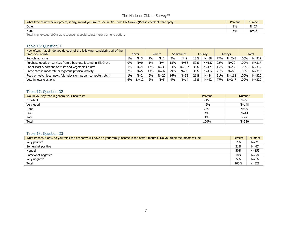| What type of new development, if any, would you like to see in Old Town Elk Grove? (Please check all that apply.) | Percent | <b>Number</b> |
|-------------------------------------------------------------------------------------------------------------------|---------|---------------|
| Other                                                                                                             | 9%      | $N = 27$      |
| None                                                                                                              | 6%      | $N = 18$      |
| ___<br>$\cdots$                                                                                                   |         |               |

Total may exceed 100% as respondents could select more than one option.

#### Table 16: Question D1

| How often, if at all, do you do each of the following, considering all of the<br>times you could? |       | <b>Never</b> |       | Rarely   |     | <b>Sometimes</b> |     | Usually   |     | <b>Always</b> |      | <b>Total</b> |
|---------------------------------------------------------------------------------------------------|-------|--------------|-------|----------|-----|------------------|-----|-----------|-----|---------------|------|--------------|
| Recycle at home                                                                                   | 1%    | $N=3$        | $1\%$ | $N=2$    | 3%  | $N=9$            | 18% | $N = 58$  | 77% | $N = 245$     | 100% | $N = 317$    |
| Purchase goods or services from a business located in Elk Grove                                   | $0\%$ | $N=0$        | $1\%$ | $N=4$    | 18% | $N = 56$         | 59% | $N = 187$ | 22% | $N = 70$      | 100% | $N = 317$    |
| Eat at least 5 portions of fruits and vegetables a day                                            | 1%    | $N=4$        | 12%   | $N = 38$ | 34% | $N = 107$        | 38% | $N = 121$ | 15% | $N = 47$      | 100% | $N = 317$    |
| Participate in moderate or vigorous physical activity                                             | 2%    | $N=5$        | 13%   | $N = 42$ | 29% | $N = 93$         | 35% | $N = 112$ | 21% | $N = 66$      | 100% | $N = 318$    |
| Read or watch local news (via television, paper, computer, etc.)                                  | 1%    | $N=2$        | 6%    | $N = 20$ | 16% | $N = 52$         | 26% | $N = 84$  | 51% | $N = 162$     | 100% | $N = 320$    |
| Vote in local elections                                                                           | 4%    | $N=12$       | 2%    | $N=5$    | 4%  | $N = 14$         | 13% | $N = 42$  | 77% | $N = 247$     | 100% | $N = 320$    |

#### Table 17: Question D2

| Would you say that in general your health is: | Percent | <b>Number</b> |
|-----------------------------------------------|---------|---------------|
| Excellent                                     | 21%     | $N = 66$      |
| Very good                                     | 46%     | $N = 148$     |
| Good                                          | 28%     | $N = 90$      |
| Fair                                          | 4%      | $N = 14$      |
| Poor                                          | $1\%$   | $N=2$         |
| Total                                         | 100%    | $N = 320$     |

# Table 18: Question D3

| What impact, if any, do you think the economy will have on your family income in the next 6 months? Do you think the impact will be | Percent | <b>Number</b> |
|-------------------------------------------------------------------------------------------------------------------------------------|---------|---------------|
| Very positive                                                                                                                       | 7%      | $N = 21$      |
| Somewhat positive                                                                                                                   | 21%     | $N = 67$      |
| Neutral                                                                                                                             | 50%     | $N = 159$     |
| Somewhat negative                                                                                                                   | 18%     | $N = 58$      |
| Very negative                                                                                                                       | 5%      | $N=16$        |
| Total                                                                                                                               | 100%    | $N = 321$     |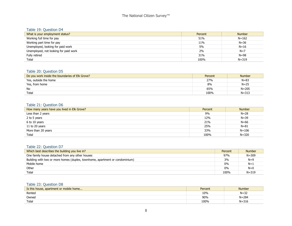#### Table 19: Question D4

| What is your employment status?       | Percent | <b>Number</b> |
|---------------------------------------|---------|---------------|
| Working full time for pay             | 51%     | $N = 162$     |
| Working part time for pay             | 11%     | $N = 36$      |
| Unemployed, looking for paid work     | 5%      | $N = 16$      |
| Unemployed, not looking for paid work | 2%      | $N=7$         |
| Fully retired                         | 31%     | $N = 98$      |
| Total                                 | 100%    | $N = 319$     |

#### Table 20: Question D5

| Do you work inside the boundaries of Elk Grove? | Percent | <b>Number</b> |
|-------------------------------------------------|---------|---------------|
| Yes, outside the home                           | 27%     | $N = 83$      |
| Yes, from home                                  | 8%      | $N = 25$      |
| No                                              | 65%     | $N = 205$     |
| Total                                           | 100%    | $N = 313$     |

#### Table 21: Question D6

| How many years have you lived in Elk Grove? | Percent | <b>Number</b> |
|---------------------------------------------|---------|---------------|
| Less than 2 years                           | 9%      | $N = 28$      |
| 2 to 5 years                                | 12%     | $N = 39$      |
| 6 to 10 years                               | 21%     | $N = 66$      |
| 11 to 20 years                              | 25%     | $N = 81$      |
| More than 20 years                          | 33%     | $N = 106$     |
| Total                                       | 100%    | $N = 320$     |

#### Table 22: Question D7

| Which best describes the building you live in?                               | Percent | <b>Number</b> |
|------------------------------------------------------------------------------|---------|---------------|
| One family house detached from any other houses                              | 97%     | $N = 309$     |
| Building with two or more homes (duplex, townhome, apartment or condominium) | 3%      | $N=9$         |
| Mobile home                                                                  | 0%      | $N=1$         |
| Other                                                                        | 0%      | $N=0$         |
| Total                                                                        | 100%    | $N = 319$     |

# Table 23: Question D8

| Is this house, apartment or mobile home | Percent | <b>Number</b> |
|-----------------------------------------|---------|---------------|
| Rented                                  | 10%     | $N = 32$      |
| Owned                                   | 90%     | $N = 284$     |
| Total                                   | 100%    | $N = 316$     |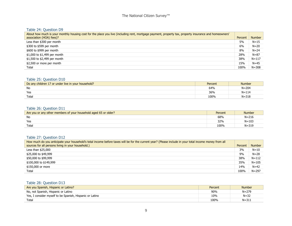#### Table 24: Question D9

| About how much is your monthly housing cost for the place you live (including rent, mortgage payment, property tax, property insurance and homeowners' |         |               |
|--------------------------------------------------------------------------------------------------------------------------------------------------------|---------|---------------|
| association (HOA) fees)?                                                                                                                               | Percent | <b>Number</b> |
| Less than \$300 per month                                                                                                                              | 5%      | $N = 15$      |
| \$300 to \$599 per month                                                                                                                               | 6%      | $N = 20$      |
| \$600 to \$999 per month                                                                                                                               | 8%      | $N = 24$      |
| \$1,000 to \$1,499 per month                                                                                                                           | 28%     | $N = 87$      |
| \$1,500 to \$2,499 per month                                                                                                                           | 38%     | $N = 117$     |
| \$2,500 or more per month                                                                                                                              | 15%     | $N = 45$      |
| Total                                                                                                                                                  | 100%    | $N = 308$     |

#### Table 25: Question D10

| Do any children 17 or under live in your household? | Percent | <b>Number</b> |
|-----------------------------------------------------|---------|---------------|
| No                                                  | 64%     | $N = 204$     |
| Yes                                                 | 36%     | $N = 114$     |
| Total                                               | 100%    | $N = 318$     |

#### Table 26: Question D11

| Are you or any other members of your household aged 65 or older? | Percent | <b>Number</b> |
|------------------------------------------------------------------|---------|---------------|
| No                                                               | 68%     | $N = 216$     |
| Yes                                                              | 32%     | $N = 103$     |
| Total                                                            | 100%    | $N = 319$     |

# Table 27: Question D12

| How much do you anticipate your household's total income before taxes will be for the current year? (Please include in your total income money from all |         |               |
|---------------------------------------------------------------------------------------------------------------------------------------------------------|---------|---------------|
| sources for all persons living in your household.)                                                                                                      | Percent | <b>Number</b> |
| Less than $$25,000$                                                                                                                                     | 3%      | $N=10$        |
| \$25,000 to \$49,999                                                                                                                                    | 9%      | $N = 28$      |
| \$50,000 to \$99,999                                                                                                                                    | 38%     | $N = 112$     |
| \$100,000 to \$149,999                                                                                                                                  | 35%     | $N = 105$     |
| \$150,000 or more                                                                                                                                       | 14%     | $N = 42$      |
| Total                                                                                                                                                   | 100%    | $N = 297$     |

# Table 28: Question D13

| Are you Spanish, Hispanic or Latino?                     | Percent | <b>Number</b> |
|----------------------------------------------------------|---------|---------------|
| No, not Spanish, Hispanic or Latino                      | 90%     | $N = 279$     |
| Yes, I consider myself to be Spanish, Hispanic or Latino | 10%     | $N = 32$      |
| Total                                                    | 100%    | N=311         |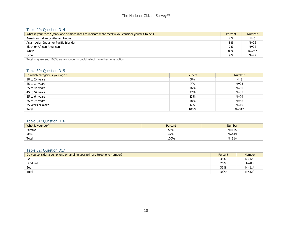#### Table 29: Question D14

| What is your race? (Mark one or more races to indicate what race(s) you consider yourself to be.) | Percent | <b>Number</b> |
|---------------------------------------------------------------------------------------------------|---------|---------------|
| American Indian or Alaskan Native                                                                 | 2%      | $N=6$         |
| Asian, Asian Indian or Pacific Islander                                                           | 8%      | $N = 26$      |
| Black or African American                                                                         | 7%      | $N = 22$      |
| White                                                                                             | 80%     | $N = 247$     |
| Other                                                                                             | 9%      | $N = 29$      |

Total may exceed 100% as respondents could select more than one option.

#### Table 30: Question D15

| In which category is your age? | Percent | <b>Number</b> |
|--------------------------------|---------|---------------|
| 18 to 24 years                 | 3%      | $N=8$         |
| 25 to 34 years                 | 7%      | $N = 23$      |
| 35 to 44 years                 | 16%     | $N = 50$      |
| 45 to 54 years                 | 27%     | $N = 85$      |
| 55 to 64 years                 | 23%     | $N = 74$      |
| 65 to 74 years                 | 18%     | $N = 58$      |
| 75 years or older              | 6%      | $N=19$        |
| Total                          | 100%    | $N = 317$     |

#### Table 31: Question D16

| What is your sex? | Percent      | Number    |
|-------------------|--------------|-----------|
| Female            | 53%          | $N = 165$ |
| Male              | 170.<br>4/90 | $N = 149$ |
| Total             | 100%         | $N = 314$ |

#### Table 32: Question D17

| Do you consider a cell phone or landline your primary telephone number? | Percent | <b>Number</b> |
|-------------------------------------------------------------------------|---------|---------------|
| Cell                                                                    | 38%     | $N = 123$     |
| Land line                                                               | 26%     | $N = 83$      |
| Both                                                                    | 36%     | $N = 114$     |
| Total                                                                   | 100%    | $N = 320$     |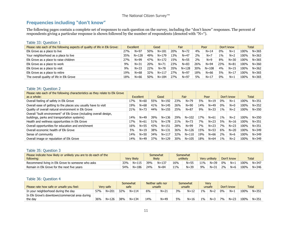# **Frequencies including "don't know"**

The following pages contain a complete set of responses to each question on the survey, including the "don't know" responses. The percent of respondents giving a particular response is shown followed by the number of respondents (denoted with "N=").

| Table 33: Question 1                                                       |                  |           |      |           |      |           |      |           |            |          |              |           |
|----------------------------------------------------------------------------|------------------|-----------|------|-----------|------|-----------|------|-----------|------------|----------|--------------|-----------|
| Please rate each of the following aspects of quality of life in Elk Grove: | <b>Excellent</b> |           | Good |           | Fair |           | Poor |           | Don't know |          | <b>Total</b> |           |
| Elk Grove as a place to live                                               | 27%              | $N = 97$  | 50%  | $N = 181$ | 20%  | $N = 72$  | 4%   | $N = 14$  | $0\%$      | $N=1$    | 100%         | $N = 365$ |
| Your neighborhood as a place to live                                       | 35%              | $N = 128$ | 49%  | $N = 179$ | 13%  | $N=47$    | 2%   | $N=7$     | $1\%$      | $N=2$    | 100%         | $N = 363$ |
| Elk Grove as a place to raise children                                     | 27%              | $N = 99$  | 47%  | $N = 172$ | 15%  | $N = 55$  | 2%   | $N=9$     | 8%         | $N = 30$ | 100%         | $N = 365$ |
| Elk Grove as a place to work                                               | 9%               | $N = 31$  | 20%  | $N = 71$  | 23%  | $N = 83$  | 26%  | $N = 94$  | 23%        | $N = 81$ | 100%         | $N = 360$ |
| Elk Grove as a place to visit                                              | 9%               | $N = 33$  | 22%  | $N = 78$  | 35%  | $N = 128$ | 30%  | $N = 108$ | 4%         | $N = 15$ | 100%         | $N = 362$ |
| Elk Grove as a place to retire                                             | 19%              | $N = 68$  | 32%  | $N = 117$ | 27%  | $N = 97$  | 18%  | $N = 66$  | 5%         | $N = 17$ | 100%         | $N = 365$ |
| The overall quality of life in Elk Grove                                   | 18%              | $N = 66$  | 50%  | $N = 184$ | 27%  | $N = 97$  | 5%   | $N = 17$  | 0%         | $N=1$    | 100%         | $N = 365$ |

#### Table 34: Question 2

| Please rate each of the following characteristics as they relate to Elk Grove<br>as a whole:                        |     | Excellent |     | Good      |     | Fair      |     | Poor     |       | Don't know |      | Total     |
|---------------------------------------------------------------------------------------------------------------------|-----|-----------|-----|-----------|-----|-----------|-----|----------|-------|------------|------|-----------|
| Overall feeling of safety in Elk Grove                                                                              | 17% | $N = 60$  | 55% | $N = 192$ | 23% | $N = 79$  | 5%  | $N = 19$ | 0%    | $N=1$      | 100% | N=351     |
| Overall ease of getting to the places you usually have to visit                                                     | 19% | $N = 68$  | 41% | $N = 145$ | 26% | $N=90$    | 14% | $N = 49$ | $0\%$ | $N=0$      | 100% | $N = 352$ |
| Quality of overall natural environment in Elk Grove                                                                 | 21% | $N = 73$  | 44% | $N = 155$ | 25% | $N = 87$  | 9%  | $N = 33$ | $1\%$ | $N=2$      | 100% | $N = 350$ |
| Overall "built environment" of Elk Grove (including overall design,<br>buildings, parks and transportation systems) | 14% | $N = 49$  | 39% | $N = 136$ | 29% | $N = 102$ | 17% | $N=61$   | 1%    | $N=2$      | 100% | $N = 350$ |
| Health and wellness opportunities in Elk Grove                                                                      | 17% | $N = 61$  | 51% | $N = 178$ | 21% | $N = 73$  | 7%  | $N = 23$ | 5%    | $N = 16$   | 100% | N=351     |
| Overall opportunities for education and enrichment                                                                  | 16% | $N = 55$  | 43% | $N = 151$ | 28% | $N = 99$  | 7%  | $N = 23$ | 7%    | $N = 23$   | 100% | N=351     |
| Overall economic health of Elk Grove                                                                                | 5%  | $N = 19$  | 38% | $N = 131$ | 36% | $N = 126$ | 15% | $N = 53$ | 6%    | $N = 20$   | 100% | $N = 349$ |
| Sense of community                                                                                                  | 14% | $N = 50$  | 34% | $N = 117$ | 32% | $N = 110$ | 19% | $N = 66$ | 2%    | $N=6$      | 100% | $N = 349$ |
| Overall image or reputation of Elk Grove                                                                            | 14% | $N = 49$  | 37% | $N = 129$ | 30% | $N = 105$ | 18% | $N = 64$ | $1\%$ | $N=2$      | 100% | $N = 349$ |

#### Table 35: Question 3

| Please indicate how likely or unlikely you are to do each of the<br>following: |     | <b>Very likely</b> |     | Somewhat<br>likely |     | Somewhat<br>unlikely |        | Verv unlikely |       | Don't know |      | <b>Total</b> |
|--------------------------------------------------------------------------------|-----|--------------------|-----|--------------------|-----|----------------------|--------|---------------|-------|------------|------|--------------|
| Recommend living in Elk Grove to someone who asks                              | 33% | $N = 115$          | 39% | $N = 137$          | 16% | $N = 55$             | $11\%$ | $N = 39$      | $0\%$ | $N=1$      | 100% | $N = 347$    |
| Remain in Elk Grove for the next five years                                    | 54% | $N = 186$          | 24% | $N = 84$           | 11% | $N = 39$             | 9%     | $N = 31$      | 2%    | $N=6$      | 100% | $N = 346$    |

#### Table 36: Question 4

| Please rate how safe or unsafe you feel:       |     | Very safe |     | Somewhat<br>safe |     | Neither safe nor<br>unsafe |    | Somewhat<br>unsafe |       | Verv<br>unsafe |    | Don't know |      | <b>Total</b> |
|------------------------------------------------|-----|-----------|-----|------------------|-----|----------------------------|----|--------------------|-------|----------------|----|------------|------|--------------|
| In your neighborhood during the day            | 57% | $N = 201$ | 32% | $N = 114$        | 6%  | $N = 21$                   | 3% | $N = 12$           | 1%    | $N = 2$        | 0% | $N=1$      | 100% | $N = 351$    |
| In Elk Grove's downtown/commercial area during |     |           |     |                  |     |                            |    |                    |       |                |    |            |      |              |
| the day                                        | 36% | $N = 126$ | 38% | $N = 134$        | 14% | N=49                       | 5% | $N = 16$           | $1\%$ | $N=3$          | 7% | $N = 23$   | 100% | $N = 351$    |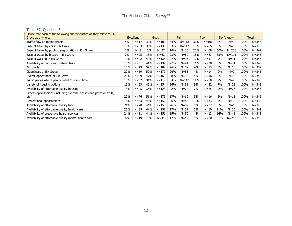#### Table 37: Question 5

| Please rate each of the following characteristics as they relate to Elk | Excellent |          | Good |           |     |           |     |           |       |            |      |              |
|-------------------------------------------------------------------------|-----------|----------|------|-----------|-----|-----------|-----|-----------|-------|------------|------|--------------|
| Grove as a whole:                                                       |           |          |      |           |     | Fair      |     | Poor      |       | Don't know |      | <b>Total</b> |
| Traffic flow on major streets                                           | 5%        | $N=17$   | 30%  | $N = 102$ | 34% | $N = 118$ | 31% | $N = 106$ | $0\%$ | $N=0$      | 100% | $N = 343$    |
| Ease of travel by car in Elk Grove                                      | 10%       | $N = 33$ | 39%  | $N = 133$ | 33% | $N = 112$ | 19% | $N = 65$  | $0\%$ | $N=0$      | 100% | $N = 343$    |
| Ease of travel by public transportation in Elk Grove                    | 2%        | $N=8$    | 8%   | $N = 27$  | 10% | $N = 35$  | 20% | $N = 68$  | 60%   | $N = 206$  | 100% | $N = 344$    |
| Ease of travel by bicycle in Elk Grove                                  | 7%        | $N = 25$ | 18%  | $N = 62$  | 23% | $N = 80$  | 18% | $N = 63$  | 33%   | $N = 115$  | 100% | $N = 345$    |
| Ease of walking in Elk Grove                                            | 12%       | $N=42$   | 40%  | $N = 138$ | 27% | $N = 93$  | 12% | $N=41$    | 9%    | $N = 31$   | 100% | $N = 345$    |
| Availability of paths and walking trails                                | 15%       | $N = 51$ | 41%  | $N = 139$ | 27% | $N = 94$  | 11% | $N = 38$  | 6%    | $N = 21$   | 100% | $N = 343$    |
| Air quality                                                             | 13%       | $N = 43$ | 54%  | $N = 182$ | 26% | $N = 89$  | 4%  | $N = 13$  | 3%    | $N=10$     | 100% | $N = 337$    |
| Cleanliness of Elk Grove                                                | 20%       | $N = 69$ | 52%  | $N = 179$ | 24% | $N = 83$  | 4%  | $N = 14$  | $0\%$ | $N=0$      | 100% | $N = 345$    |
| Overall appearance of Elk Grove                                         | 20%       | $N = 69$ | 47%  | $N = 163$ | 28% | $N = 96$  | 5%  | $N = 16$  | $0\%$ | $N=0$      | 100% | $N = 344$    |
| Public places where people want to spend time                           | 15%       | $N = 52$ | 34%  | $N = 119$ | 34% | $N = 117$ | 14% | $N = 50$  | 2%    | $N=7$      | 100% | $N = 345$    |
| Variety of housing options                                              | 15%       | $N = 53$ | 45%  | $N = 154$ | 24% | $N = 81$  | 9%  | $N = 32$  | 7%    | $N = 23$   | 100% | $N = 343$    |
| Availability of affordable quality housing                              | 13%       | $N=45$   | 36%  | $N = 123$ | 22% | $N = 74$  | 7%  | $N=25$    | 22%   | N=76       | 100% | $N = 343$    |
| Fitness opportunities (including exercise classes and paths or trails,  |           |          |      |           |     |           |     |           |       |            |      |              |
| etc.                                                                    | 22%       | $N = 76$ | 51%  | $N = 175$ | 17% | $N = 60$  | 5%  | $N = 16$  | 5%    | $N=18$     | 100% | $N = 345$    |
| Recreational opportunities                                              | 16%       | $N = 53$ | 45%  | $N = 152$ | 26% | $N = 88$  | 10% | $N = 33$  | 4%    | $N=12$     | 100% | $N = 338$    |
| Availability of affordable quality food                                 | 21%       | $N = 70$ | 44%  | $N = 150$ | 26% | $N = 87$  | 9%  | $N = 32$  | $0\%$ | $N=1$      | 100% | $N = 340$    |
| Availability of affordable quality health care                          | 25%       | $N = 85$ | 44%  | $N = 151$ | 17% | $N = 59$  | 3%  | $N = 10$  | 11%   | $N = 36$   | 100% | $N = 341$    |
| Availability of preventive health services                              | 24%       | $N = 81$ | 44%  | $N = 151$ | 15% | $N = 50$  | 4%  | $N = 13$  | 14%   | $N = 48$   | 100% | $N = 343$    |
| Availability of affordable quality mental health care                   | 6%        | $N = 19$ | 13%  | $N = 44$  | 12% | $N = 40$  | 9%  | $N = 30$  | 61%   | $N = 212$  | 100% | $N = 345$    |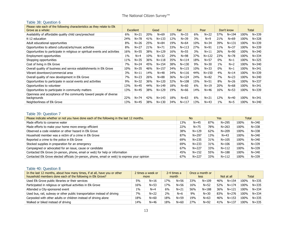# Table 38: Question 6

| Please rate each of the following characteristics as they relate to Elk<br>Grove as a whole: | Excellent |          | Good |           |     | Fair      |     | Poor      |       | Don't know |      | <b>Total</b> |
|----------------------------------------------------------------------------------------------|-----------|----------|------|-----------|-----|-----------|-----|-----------|-------|------------|------|--------------|
| Availability of affordable quality child care/preschool                                      | 6%        | $N = 21$ | 20%  | $N = 69$  | 10% | $N = 33$  | 6%  | $N = 22$  | 57%   | $N = 194$  | 100% | $N = 339$    |
| K-12 education                                                                               | 24%       | $N = 78$ | 41%  | $N = 133$ | 12% | $N = 39$  | 3%  | $N=9$     | 21%   | $N = 69$   | 100% | $N = 328$    |
| Adult educational opportunities                                                              | 8%        | $N = 26$ | 25%  | $N = 84$  | 19% | $N = 64$  | 10% | $N = 34$  | 39%   | $N = 131$  | 100% | $N = 339$    |
| Opportunities to attend cultural/arts/music activities                                       | 8%        | $N = 27$ | 21%  | $N = 71$  | 33% | $N = 113$ | 27% | $N = 91$  | 11%   | $N = 37$   | 100% | $N = 339$    |
| Opportunities to participate in religious or spiritual events and activities                 | 16%       | $N = 55$ | 38%  | $N = 129$ | 16% | $N = 55$  | 3%  | $N = 11$  | 26%   | $N = 90$   | 100% | $N = 340$    |
| Employment opportunities                                                                     | $1\%$     | $N=4$    | 10%  | $N = 32$  | 29% | $N = 98$  | 37% | $N = 122$ | 23%   | $N = 78$   | 100% | $N = 334$    |
| Shopping opportunities                                                                       | 11%       | $N = 35$ | 36%  | $N = 118$ | 35% | $N = 114$ | 18% | $N = 57$  | $0\%$ | $N=1$      | 100% | $N = 325$    |
| Cost of living in Elk Grove                                                                  | 7%        | $N = 24$ | 45%  | $N = 154$ | 38% | $N = 130$ | 9%  | $N = 30$  | $1\%$ | $N=2$      | 100% | $N = 340$    |
| Overall quality of business and service establishments in Elk Grove                          | 10%       | $N = 35$ | 46%  | $N = 157$ | 34% | $N = 115$ | 10% | $N = 33$  | $0\%$ | $N=1$      | 100% | $N = 341$    |
| Vibrant downtown/commercial area                                                             | 3%        | $N = 11$ | 14%  | $N = 48$  | 34% | $N = 116$ | 44% | $N = 150$ | 4%    | $N = 14$   | 100% | $N = 339$    |
| Overall quality of new development in Elk Grove                                              | 7%        | $N = 23$ | 26%  | $N = 88$  | 36% | $N = 124$ | 24% | $N = 82$  | 7%    | $N = 23$   | 100% | $N = 340$    |
| Opportunities to participate in social events and activities                                 | 9%        | $N = 32$ | 36%  | $N = 120$ | 32% | $N = 108$ | 15% | $N = 51$  | 8%    | $N = 26$   | 100% | $N = 337$    |
| Opportunities to volunteer                                                                   | 13%       | $N = 45$ | 44%  | $N = 149$ | 18% | $N = 60$  | 6%  | $N = 19$  | 20%   | $N = 68$   | 100% | $N = 341$    |
| Opportunities to participate in community matters                                            | 13%       | $N = 45$ | 38%  | $N = 129$ | 19% | $N = 66$  | 14% | $N = 46$  | 16%   | $N = 53$   | 100% | $N = 339$    |
| Openness and acceptance of the community toward people of diverse<br>backgrounds             | 22%       | $N = 74$ | 42%  | $N = 143$ | 18% | $N = 63$  | 6%  | $N = 21$  | 12%   | $N = 40$   | 100% | $N = 341$    |
| Neighborliness of Elk Grove                                                                  | 13%       | $N=45$   | 38%  | $N = 130$ | 34% | $N = 117$ | 13% | $N = 43$  | $1\%$ | $N=5$      | 100% | $N = 340$    |

#### Table 39: Question 7

| Please indicate whether or not you have done each of the following in the last 12 months.      |     | <b>No</b> |     | <b>Yes</b> |      | <b>Total</b> |
|------------------------------------------------------------------------------------------------|-----|-----------|-----|------------|------|--------------|
| Made efforts to conserve water                                                                 | 13% | $N = 45$  | 87% | $N = 295$  | 100% | $N = 340$    |
| Made efforts to make your home more energy efficient                                           | 22% | $N = 75$  | 78% | $N = 263$  | 100% | $N = 338$    |
| Observed a code violation or other hazard in Elk Grove                                         | 38% | $N = 129$ | 62% | $N = 209$  | 100% | $N = 338$    |
| Household member was a victim of a crime in Elk Grove                                          | 87% | $N = 297$ | 13% | $N = 43$   | 100% | $N = 340$    |
| Reported a crime to the police in Elk Grove                                                    | 69% | $N = 235$ | 31% | $N = 105$  | 100% | $N = 340$    |
| Stocked supplies in preparation for an emergency                                               | 69% | $N = 233$ | 31% | $N = 106$  | 100% | $N = 339$    |
| Campaigned or advocated for an issue, cause or candidate                                       | 67% | $N = 227$ | 33% | $N = 112$  | 100% | $N = 339$    |
| Contacted Elk Grove (in-person, phone, email or web) for help or information                   | 45% | $N = 152$ | 55% | $N = 188$  | 100% | $N = 340$    |
| Contacted Elk Grove elected officials (in-person, phone, email or web) to express your opinion | 67% | $N = 227$ | 33% | $N = 112$  | 100% | $N = 339$    |

# Table 40: Question 8

| In the last 12 months, about how many times, if at all, have you or other<br>household members done each of the following in Elk Grove? |       | 2 times a week or<br>more |     | 2-4 times a<br>month |     | Once a month or<br>less |     | Not at all |      | <b>Total</b> |
|-----------------------------------------------------------------------------------------------------------------------------------------|-------|---------------------------|-----|----------------------|-----|-------------------------|-----|------------|------|--------------|
| Used Elk Grove public libraries or their services                                                                                       | 5%    | $N = 16$                  | 17% | $N = 56$             | 33% | $N = 109$               | 46% | $N = 154$  | 100% | $N = 335$    |
| Participated in religious or spiritual activities in Elk Grove                                                                          | 16%   | $N = 53$                  | 17% | $N = 56$             | 16% | $N = 52$                | 52% | $N = 174$  | 100% | $N = 335$    |
| Attended a City-sponsored event                                                                                                         | $1\%$ | $N=4$                     | 6%  | $N = 21$             | 56% | $N = 188$               | 36% | $N = 121$  | 100% | $N = 334$    |
| Used bus, rail, subway or other public transportation instead of driving                                                                | 7%    | $N = 22$                  | 2%  | $N=6$                | 9%  | $N = 30$                | 83% | $N = 276$  | 100% | $N = 334$    |
| Carpooled with other adults or children instead of driving alone                                                                        | 18%   | $N = 60$                  | 18% | $N = 59$             | 19% | $N = 63$                | 46% | $N = 153$  | 100% | $N = 335$    |
| Walked or biked instead of driving                                                                                                      | 14%   | $N = 46$                  | 18% | $N = 60$             | 27% | $N = 92$                | 41% | $N = 137$  | 100% | $N = 335$    |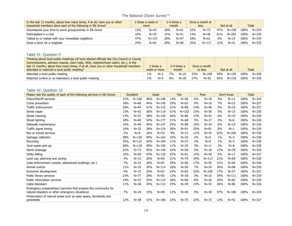| In the last 12 months, about how many times, if at all, have you or other | 2 times a week or |           | 2-4 times a<br>month |          |     | Once a month or |     |            |      |              |
|---------------------------------------------------------------------------|-------------------|-----------|----------------------|----------|-----|-----------------|-----|------------|------|--------------|
| household members done each of the following in Elk Grove?                | more              |           |                      |          |     | less            |     | Not at all |      | <b>Total</b> |
| Volunteered your time to some group/activity in Elk Grove                 | 13%               | $N=43$    | 18%                  | $N = 61$ | 22% | $N = 72$        | 47% | $N = 158$  | 100% | $N = 334$    |
| Participated in a club                                                    | 10%               | $N = 35$  | 15%                  | $N = 51$ | 14% | $N = 46$        | 61% | $N = 203$  | 100% | $N = 335$    |
| Talked to or visited with your immediate neighbors                        | 47%               | $N = 157$ | 29%                  | $N = 97$ | 18% | $N = 61$        | 6%  | $N = 19$   | 100% | $N = 334$    |
| Done a favor for a neighbor                                               | 24%               | $N = 81$  | 29%                  | $N = 96$ | 35% | $N = 117$       | 12% | $N = 41$   | 100% | $N = 335$    |

# Table 41: Question 9

| Thinking about local public meetings (of local elected officials like City Council or County<br>Commissioners, advisory boards, town halls, HOA, neighborhood watch, etc.), in the<br>last 12 months, about how many times, if at all, have you or other household members |       | 2 times a    |    | 2-4 times a |     | Once a month |     |            |      |              |
|----------------------------------------------------------------------------------------------------------------------------------------------------------------------------------------------------------------------------------------------------------------------------|-------|--------------|----|-------------|-----|--------------|-----|------------|------|--------------|
| attended or watched a local public meeting?                                                                                                                                                                                                                                |       | week or more |    | month       |     | or less      |     | Not at all |      | <b>Total</b> |
| Attended a local public meeting                                                                                                                                                                                                                                            | 1%    | $N=2$        | 7% | $N = 22$    | 33% | $N = 109$    | 59% | N=195      | 100% | $N = 328$    |
| Watched (online or on television) a local public meeting                                                                                                                                                                                                                   | $1\%$ | $N=5$        | 6% | $N = 20$    | 27% | $N = 92$     | 65% | $N = 218$  | 100% | $N = 335$    |

#### Table 42: Question 10

| Please rate the quality of each of the following services in Elk Grove:                                             |     | <b>Excellent</b> |     | Good      |     | Fair      |     | Poor      |       | Don't know |      | <b>Total</b> |
|---------------------------------------------------------------------------------------------------------------------|-----|------------------|-----|-----------|-----|-----------|-----|-----------|-------|------------|------|--------------|
| Police/Sheriff services                                                                                             | 31% | $N = 100$        | 46% | $N = 148$ | 14% | $N = 46$  | 6%  | $N = 18$  | 4%    | $N = 12$   | 100% | $N = 324$    |
| Crime prevention                                                                                                    | 18% | $N=60$           | 44% | $N = 145$ | 25% | $N = 83$  | 5%  | $N=16$    | 7%    | $N = 23$   | 100% | $N = 327$    |
| Traffic enforcement:                                                                                                | 20% | $N=64$           | 41% | $N = 133$ | 21% | $N = 68$  | 14% | $N = 46$  | 5%    | $N = 16$   | 100% | $N = 327$    |
| Street repair                                                                                                       | 13% | $N=42$           | 36% | $N = 119$ | 31% | $N = 102$ | 15% | $N = 50$  | 5%    | $N = 15$   | 100% | $N = 328$    |
| Street cleaning                                                                                                     | 17% | $N = 57$         | 38% | $N = 126$ | 26% | $N = 86$  | 13% | $N=42$    | 6%    | $N = 19$   | 100% | $N = 330$    |
| Street lighting                                                                                                     | 18% | $N=60$           | 54% | $N = 177$ | 21% | $N = 68$  | 5%  | $N=17$    | 2%    | $N=6$      | 100% | $N = 328$    |
| Sidewalk maintenance                                                                                                | 14% | $N = 46$         | 45% | $N = 147$ | 25% | $N = 80$  | 10% | $N = 34$  | 6%    | $N=19$     | 100% | $N = 326$    |
| Traffic signal timing                                                                                               | 10% | $N = 32$         | 38% | $N = 124$ | 28% | $N = 91$  | 25% | $N = 81$  | $0\%$ | $N=1$      | 100% | $N = 329$    |
| Bus or transit services                                                                                             | 2%  | $N=8$            | 16% | $N = 52$  | 9%  | $N = 31$  | 11% | $N = 35$  | 62%   | $N = 204$  | 100% | $N = 330$    |
| Garbage collection                                                                                                  | 38% | $N = 126$        | 49% | $N = 162$ | 10% | $N = 34$  | 2%  | $N = 5$   | $1\%$ | $N = 3$    | 100% | $N = 330$    |
| Recycling                                                                                                           | 35% | $N = 115$        | 50% | $N = 164$ | 11% | $N = 37$  | 3%  | $N=9$     | $1\%$ | $N=3$      | 100% | $N = 328$    |
| Yard waste pick-up                                                                                                  | 36% | $N = 118$        | 48% | $N = 156$ | 11% | $N = 35$  | 3%  | $N = 11$  | 2%    | $N = 8$    | 100% | $N = 328$    |
| Storm drainage                                                                                                      | 22% | $N = 73$         | 45% | $N = 149$ | 15% | $N = 50$  | 5%  | $N = 18$  | 12%   | $N = 39$   | 100% | $N = 329$    |
| Utility billing                                                                                                     | 15% | $N = 50$         | 43% | $N = 139$ | 25% | $N = 81$  | 12% | $N = 40$  | 5%    | $N=17$     | 100% | $N = 327$    |
| Land use, planning and zoning                                                                                       | 4%  | $N=13$           | 20% | $N=65$    | 21% | $N = 70$  | 34% | $N = 113$ | 21%   | $N = 69$   | 100% | $N = 330$    |
| Code enforcement (weeds, abandoned buildings, etc.)                                                                 | 7%  | $N = 23$         | 26% | $N = 87$  | 29% | $N = 96$  | 17% | $N = 55$  | 21%   | $N = 69$   | 100% | $N = 330$    |
| Animal control                                                                                                      | 11% | $N = 35$         | 35% | $N = 114$ | 18% | $N = 59$  | 7%  | $N = 24$  | 30%   | $N = 98$   | 100% | $N = 330$    |
| Economic development                                                                                                | 5%  | $N=15$           | 20% | $N=67$    | 25% | $N = 82$  | 32% | $N = 106$ | 17%   | $N = 57$   | 100% | $N = 327$    |
| Public library services                                                                                             | 23% | $N = 77$         | 28% | $N=93$    | 12% | $N = 38$  | 3%  | $N=10$    | 34%   | $N = 111$  | 100% | $N = 329$    |
| Public information services                                                                                         | 14% | $N=47$           | 35% | $N = 114$ | 18% | $N=60$    | 8%  | $N = 26$  | 25%   | $N = 82$   | 100% | $N = 329$    |
| Cable television                                                                                                    | 11% | $N = 36$         | 34% | $N = 112$ | 15% | $N=49$    | 13% | $N = 43$  | 26%   | $N = 86$   | 100% | $N = 326$    |
| Emergency preparedness (services that prepare the community for<br>natural disasters or other emergency situations) | 7%  | $N = 24$         | 15% | $N=49$    | 12% | $N=40$    | 9%  | $N = 30$  | 57%   | $N = 186$  | 100% | $N = 329$    |
| Preservation of natural areas such as open space, farmlands and<br>greenbelts                                       | 12% | $N = 38$         | 31% | $N = 100$ | 23% | $N = 75$  | 22% | $N = 72$  | 13%   | $N=42$     | 100% | $N = 327$    |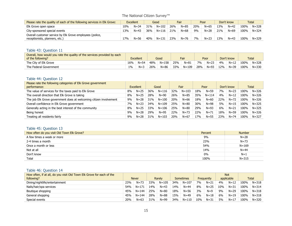| Please rate the quality of each of the following services in Elk Grove:                    | <b>Excellent</b> |          | Good |           |     | Fair     |     | Poor     |     | Don't know |      | Total     |
|--------------------------------------------------------------------------------------------|------------------|----------|------|-----------|-----|----------|-----|----------|-----|------------|------|-----------|
| Elk Grove open space                                                                       | 10%              | $N = 34$ | 31%  | $N = 102$ | 26% | $N = 85$ | 20% | $N = 65$ | 13% | $N = 42$   | 100% | $N = 328$ |
| City-sponsored special events                                                              | 13%              | $N = 43$ | 36%  | $N = 116$ | 21% | $N = 68$ | 9%  | $N = 28$ | 21% | $N = 69$   | 100% | $N = 324$ |
| Overall customer service by Elk Grove employees (police,<br>receptionists, planners, etc.) | 17%              | $N = 56$ | 40%  | $N = 131$ | 23% | $N = 76$ | 7%  | $N = 23$ | 13% | $N=43$     | 100% | $N = 329$ |

# Table 43: Question 11

| Overall, how would you rate the quality of the services provided by each<br>of the following? |       | <b>Excellent</b> |     | Good      |     | Fair     |     | Poor     |     | Don't know |      | <b>Total</b> |
|-----------------------------------------------------------------------------------------------|-------|------------------|-----|-----------|-----|----------|-----|----------|-----|------------|------|--------------|
| The City of Elk Grove                                                                         | 16%   | $N = 54$         | 48% | $N = 158$ | 25% | $N = 81$ | 7%  | $N = 23$ | 4%  | $N = 12$   | 100% | $N = 328$    |
| The Federal Government                                                                        | $1\%$ | $N = 3$          | 26% | $N = 86$  | 33% | N=109    | 28% | $N = 93$ | 12% | $N = 39$   | 100% | $N = 330$    |

# Table 44: Question 12

| Please rate the following categories of Elk Grove government       |    |           |     |           |     |           |     |           |     |            |      |              |
|--------------------------------------------------------------------|----|-----------|-----|-----------|-----|-----------|-----|-----------|-----|------------|------|--------------|
| performance:                                                       |    | Excellent |     | Good      |     | Fair      |     | Poor      |     | Don't know |      | <b>Total</b> |
| The value of services for the taxes paid to Elk Grove              | 8% | $N = 25$  | 36% | $N = 116$ | 32% | $N = 103$ | 18% | $N = 59$  | 7%  | $N = 23$   | 100% | $N = 326$    |
| The overall direction that Elk Grove is taking                     | 8% | $N = 25$  | 28% | $N=90$    | 26% | $N = 85$  | 35% | $N = 114$ | 4%  | $N = 12$   | 100% | $N = 326$    |
| The job Elk Grove government does at welcoming citizen involvement | 9% | $N = 28$  | 31% | $N = 100$ | 20% | $N = 66$  | 18% | $N = 60$  | 22% | $N = 72$   | 100% | $N = 326$    |
| Overall confidence in Elk Grove government                         | 7% | $N=23$    | 34% | $N = 109$ | 25% | $N = 80$  | 30% | $N = 98$  | 5%  | $N=15$     | 100% | $N = 325$    |
| Generally acting in the best interest of the community             | 8% | $N = 25$  | 33% | $N = 106$ | 25% | $N = 80$  | 29% | $N = 93$  | 6%  | $N = 21$   | 100% | $N = 325$    |
| Being honest                                                       | 9% | $N = 28$  | 29% | $N = 95$  | 22% | $N = 73$  | 22% | $N = 71$  | 18% | $N = 59$   | 100% | $N = 326$    |
| Treating all residents fairly                                      | 9% | $N = 28$  | 31% | $N = 103$ | 20% | $N = 67$  | 17% | $N = 55$  | 23% | $N = 74$   | 100% | $N = 327$    |

#### Table 45: Question 13

| How often do you visit Old Town Elk Grove? | Percent | <b>Number</b> |
|--------------------------------------------|---------|---------------|
| A few times a week or more                 | 9%      | $N = 28$      |
| 2-4 times a month                          | 23%     | $N = 73$      |
| Once a month or less                       | 54%     | $N = 169$     |
| Not at all                                 | 14%     | $N = 44$      |
| Don't know                                 | $0\%$   | $N=1$         |
| Total                                      | 100%    | $N = 315$     |

#### Table 46: Question 14

| How often, if at all, do you visit Old Town Elk Grove for each of the |     |              |     |           |     |           |     |            |     | <b>Not</b> |      |              |
|-----------------------------------------------------------------------|-----|--------------|-----|-----------|-----|-----------|-----|------------|-----|------------|------|--------------|
| following?                                                            |     | <b>Never</b> |     | Rarely    |     | Sometimes |     | Frequently |     | applicable |      | <b>Total</b> |
| Dining/nightlife/entertainment                                        | 23% | $N = 73$     | 33% | $N = 105$ | 34% | $N = 107$ | 7%  | $N = 21$   | 4%  | $N = 12$   | 100% | $N = 318$    |
| Nails/hair/spa services                                               | 54% | $N = 171$    | 14% | $N = 43$  | 14% | $N = 44$  | 8%  | $N = 25$   | 10% | $N = 31$   | 100% | $N = 314$    |
| Boutique shopping                                                     | 45% | $N = 144$    | 25% | $N = 80$  | 18% | $N = 56$  | 3%  | $N=9$      | 9%  | $N = 29$   | 100% | $N = 318$    |
| General shopping                                                      | 45% | $N = 144$    | 28% | $N = 88$  | 15% | $N=49$    | 6%  | $N = 18$   | 6%  | $N = 19$   | 100% | $N = 318$    |
| Special events                                                        | 20% | $N = 63$     | 31% | $N = 99$  | 34% | $N = 110$ | 10% | $N = 31$   | 5%  | $N = 17$   | 100% | $N = 320$    |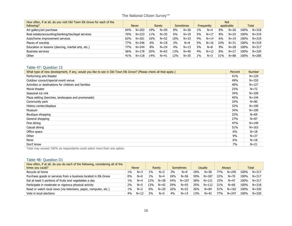| How often, if at all, do you visit Old Town Elk Grove for each of the<br>following? |     | <b>Never</b> |     | Rarely   |     | <b>Sometimes</b> |       | Frequently |     | <b>Not</b><br>applicable |      | <b>Total</b> |
|-------------------------------------------------------------------------------------|-----|--------------|-----|----------|-----|------------------|-------|------------|-----|--------------------------|------|--------------|
| Art gallery/art purchase                                                            | 64% | $N = 203$    | 19% | $N = 59$ | 8%  | $N = 26$         | $1\%$ | $N=4$      | 8%  | $N = 26$                 | 100% | $N = 318$    |
| Real estate/accounting/banking/tax/legal services                                   | 70% | $N = 223$    | 11% | $N = 35$ | 6%  | $N = 19$         | 5%    | $N = 17$   | 8%  | $N = 25$                 | 100% | $N = 319$    |
| Auto/home improvement services                                                      | 63% | $N = 201$    | 16% | $N = 52$ | 10% | $N = 33$         | 4%    | $N = 14$   | 6%  | $N = 19$                 | 100% | $N = 319$    |
| Places of worship                                                                   | 77% | $N = 246$    | 6%  | $N = 18$ | 3%  | $N = 8$          | 5%    | $N = 16$   | 10% | $N = 31$                 | 100% | $N = 319$    |
| Education or lessons (dancing, martial arts, etc.)                                  | 77% | $N = 244$    | 8%  | $N = 24$ | 4%  | $N=13$           | 3%    | $N = 8$    | 9%  | $N = 28$                 | 100% | $N = 317$    |
| <b>Business services</b>                                                            | 56% | $N = 178$    | 20% | $N = 63$ | 13% | $N = 40$         | 4%    | $N = 12$   | 8%  | $N = 27$                 | 100% | $N = 320$    |
| Other                                                                               | 41% | $N = 118$    | 14% | $N=41$   | 12% | $N = 35$         | $1\%$ | $N=3$      | 31% | $N = 88$                 | 100% | N=285        |

#### Table 47: Question 15

| What type of new development, if any, would you like to see in Old Town Elk Grove? (Please check all that apply.) | Percent | <b>Number</b> |
|-------------------------------------------------------------------------------------------------------------------|---------|---------------|
| Performing arts theater                                                                                           | 41%     | $N = 129$     |
| Outdoor concert/special event venue                                                                               | 49%     | $N = 155$     |
| Activities or destinations for children and families                                                              | 40%     | $N = 127$     |
| Movie theater                                                                                                     | 23%     | $N = 72$      |
| Seasonal ice rink                                                                                                 | 34%     | $N = 109$     |
| Plaza setting (benches, landscapes and promenade)                                                                 | 45%     | $N = 144$     |
| Community park                                                                                                    | 25%     | $N = 80$      |
| History center/displays                                                                                           | 32%     | $N = 100$     |
| Museum                                                                                                            | 34%     | $N = 109$     |
| Boutique shopping                                                                                                 | 22%     | $N = 69$      |
| General shopping                                                                                                  | 27%     | $N = 87$      |
| Fine dining                                                                                                       | 47%     | $N = 149$     |
| Casual dining                                                                                                     | 51%     | $N = 163$     |
| Office space                                                                                                      | 6%      | $N = 18$      |
| Other                                                                                                             | 9%      | $N = 27$      |
| None                                                                                                              | 6%      | $N=18$        |
| Don't know                                                                                                        | 7%      | $N = 21$      |

Total may exceed 100% as respondents could select more than one option.

# Table 48: Question D1

| How often, if at all, do you do each of the following, considering all of the<br>times you could? |       | <b>Never</b> |       | Rarely   |     | <b>Sometimes</b> |     | Usually   |                 | <b>Always</b> |      | Total     |
|---------------------------------------------------------------------------------------------------|-------|--------------|-------|----------|-----|------------------|-----|-----------|-----------------|---------------|------|-----------|
| Recycle at home                                                                                   | $1\%$ | $N = 3$      | $1\%$ | $N=2$    | 3%  | $N=9$            | 18% | $N = 58$  | 77%             | $N = 245$     | 100% | $N = 317$ |
| Purchase goods or services from a business located in Elk Grove                                   | $0\%$ | $N=0$        | $1\%$ | $N=4$    | 18% | $N = 56$         | 59% | $N = 187$ | 22%             | $N = 70$      | 100% | $N = 317$ |
| Eat at least 5 portions of fruits and vegetables a day                                            | $1\%$ | $N=4$        | L2%   | $N = 38$ | 34% | $N = 107$        | 38% | $N = 121$ | 15%             | $N = 47$      | 100% | $N = 317$ |
| Participate in moderate or vigorous physical activity                                             | 2%    | $N=5$        | 13%   | $N = 42$ | 29% | $N = 93$         | 35% | $N = 112$ | 21%             | $N = 66$      | 100% | $N = 318$ |
| Read or watch local news (via television, paper, computer, etc.)                                  | $1\%$ | $N=2$        | 6%    | $N=20$   | 16% | $N=52$           | 26% | $N = 84$  | 51%             | $N = 162$     | 100% | $N = 320$ |
| Vote in local elections                                                                           | 4%    | $N = 12$     | 2%    | $N=5$    | 4%  | $N = 14$         | 13% | $N = 42$  | 77 <sub>%</sub> | $N = 247$     | 100% | $N = 320$ |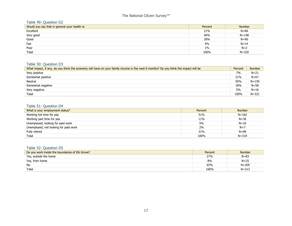# Table 49: Question D2

| Would you say that in general your health is: | Percent | <b>Number</b> |
|-----------------------------------------------|---------|---------------|
| Excellent                                     | 21%     | $N=66$        |
| Very good                                     | 46%     | $N = 148$     |
| Good                                          | 28%     | $N=90$        |
| Fair                                          | 4%      | $N = 14$      |
| Poor                                          | $1\%$   | $N=2$         |
| Total                                         | 100%    | $N = 320$     |

# Table 50: Question D3

| What impact, if any, do you think the economy will have on your family income in the next 6 months? Do you think the impact will be | Percent | <b>Number</b> |
|-------------------------------------------------------------------------------------------------------------------------------------|---------|---------------|
| Very positive                                                                                                                       | 7%      | $N = 21$      |
| Somewhat positive                                                                                                                   | 21%     | $N = 67$      |
| Neutral                                                                                                                             | 50%     | $N = 159$     |
| Somewhat negative                                                                                                                   | 18%     | $N = 58$      |
| Very negative                                                                                                                       | 5%      | $N = 16$      |
| Total                                                                                                                               | 100%    | $N = 321$     |

# Table 51: Question D4

| What is your employment status?       | Percent | <b>Number</b> |
|---------------------------------------|---------|---------------|
| Working full time for pay             | 51%     | $N = 162$     |
| Working part time for pay             | 11%     | $N = 36$      |
| Unemployed, looking for paid work     | 5%      | $N = 16$      |
| Unemployed, not looking for paid work | 2%      | $N=7$         |
| Fully retired                         | 31%     | $N = 98$      |
| Total                                 | 100%    | $N = 319$     |

#### Table 52: Question D5

| Do you work inside the boundaries of Elk Grove? | Percent | <b>Number</b> |
|-------------------------------------------------|---------|---------------|
| Yes, outside the home                           | 27%     | $N = 83$      |
| Yes, from home                                  | 8%      | $N = 25$      |
| No                                              | 65%     | $N = 205$     |
| Total                                           | 100%    | $N = 313$     |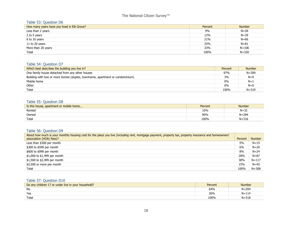#### Table 53: Question D6

| How many years have you lived in Elk Grove? | Percent | <b>Number</b> |
|---------------------------------------------|---------|---------------|
| Less than 2 years                           | 9%      | $N = 28$      |
| 2 to 5 years                                | 12%     | $N = 39$      |
| 6 to 10 years                               | 21%     | $N=66$        |
| 11 to 20 years                              | 25%     | $N = 81$      |
| More than 20 years                          | 33%     | $N = 106$     |
| Total                                       | 100%    | $N = 320$     |

#### Table 54: Question D7

| Which best describes the building you live in?                               | Percent | <b>Number</b> |
|------------------------------------------------------------------------------|---------|---------------|
| One family house detached from any other houses                              | 97%     | $N = 309$     |
| Building with two or more homes (duplex, townhome, apartment or condominium) | 3%      | $N=9$         |
| Mobile home                                                                  | 0%      | $N=1$         |
| Other                                                                        | 0%      | $N=0$         |
| Total                                                                        | 100%    | $N = 319$     |

# Table 55: Question D8

| Is this house, apartment or mobile home | Percent | <b>Number</b> |
|-----------------------------------------|---------|---------------|
| Rented                                  | 10%     | $N = 32$      |
| Owned                                   | 90%     | $N = 284$     |
| Total                                   | 100%    | $N = 316$     |

# Table 56: Question D9

| About how much is your monthly housing cost for the place you live (including rent, mortgage payment, property tax, property insurance and homeowners' |         |               |
|--------------------------------------------------------------------------------------------------------------------------------------------------------|---------|---------------|
| association (HOA) fees)?                                                                                                                               | Percent | <b>Number</b> |
| Less than \$300 per month                                                                                                                              | 5%      | $N = 15$      |
| \$300 to \$599 per month                                                                                                                               | 6%      | $N = 20$      |
| \$600 to \$999 per month                                                                                                                               | 8%      | $N = 24$      |
| \$1,000 to \$1,499 per month                                                                                                                           | 28%     | $N = 87$      |
| \$1,500 to \$2,499 per month                                                                                                                           | 38%     | $N = 117$     |
| \$2,500 or more per month                                                                                                                              | 15%     | $N = 45$      |
| Total                                                                                                                                                  | 100%    | $N = 308$     |

# Table 57: Question D10

| Do any children 17 or under live in your household? | Percent | <b>Number</b> |
|-----------------------------------------------------|---------|---------------|
| No                                                  | 64%     | $N = 204$     |
| Yes                                                 | 36%     | $N = 114$     |
| Totai                                               | 100%    | $N = 318$     |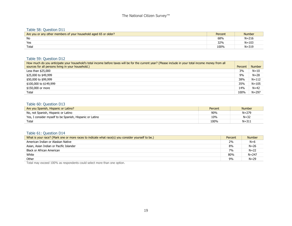#### Table 58: Question D11

| Are you or any other members of your household aged 65 or older? | Percent | <b>Number</b> |
|------------------------------------------------------------------|---------|---------------|
| No                                                               | 68%     | $N = 216$     |
| Yes                                                              | 32%     | $N = 103$     |
| Tota <sub>i</sub>                                                | 100%    | N=319         |

#### Table 59: Question D12

| How much do you anticipate your household's total income before taxes will be for the current year? (Please include in your total income money from all |         |               |
|---------------------------------------------------------------------------------------------------------------------------------------------------------|---------|---------------|
| sources for all persons living in your household.)                                                                                                      | Percent | <b>Number</b> |
| Less than $$25,000$                                                                                                                                     | 3%      | $N=10$        |
| \$25,000 to \$49,999                                                                                                                                    | 9%      | $N = 28$      |
| \$50,000 to \$99,999                                                                                                                                    | 38%     | $N = 112$     |
| \$100,000 to \$149,999                                                                                                                                  | 35%     | $N = 105$     |
| \$150,000 or more                                                                                                                                       | 14%     | $N = 42$      |
| Total                                                                                                                                                   | 100%    | $N = 297$     |

#### Table 60: Question D13

| Are you Spanish, Hispanic or Latino?                     | Percent | <b>Number</b> |
|----------------------------------------------------------|---------|---------------|
| No, not Spanish, Hispanic or Latino                      | 90%     | $N = 279$     |
| Yes, I consider myself to be Spanish, Hispanic or Latino | 10%     | $N = 32$      |
| Total                                                    | 100%    | $N = 311$     |

#### Table 61: Question D14

| What is your race? (Mark one or more races to indicate what race(s) you consider yourself to be.) | Percent | <b>Number</b> |
|---------------------------------------------------------------------------------------------------|---------|---------------|
| American Indian or Alaskan Native                                                                 | 2%      | $N=6$         |
| Asian, Asian Indian or Pacific Islander                                                           | 8%      | $N = 26$      |
| Black or African American                                                                         | 7%      | $N = 22$      |
| White                                                                                             | 80%     | $N = 247$     |
| Other                                                                                             | 9%      | $N = 29$      |

Total may exceed 100% as respondents could select more than one option.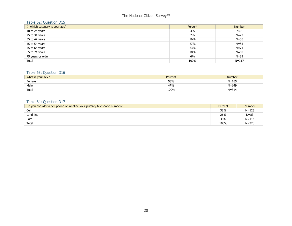# Table 62: Question D15

| In which category is your age? | Percent | <b>Number</b> |
|--------------------------------|---------|---------------|
| 18 to 24 years                 | 3%      | $N=8$         |
| 25 to 34 years                 | 7%      | $N = 23$      |
| 35 to 44 years                 | 16%     | $N = 50$      |
| 45 to 54 years                 | 27%     | $N = 85$      |
| 55 to 64 years                 | 23%     | $N = 74$      |
| 65 to 74 years                 | 18%     | $N = 58$      |
| 75 years or older              | 6%      | $N = 19$      |
| Total                          | 100%    | $N = 317$     |

#### Table 63: Question D16

| What is your sex? | Percent | Number    |
|-------------------|---------|-----------|
| Female            | 53%     | $N = 165$ |
| Male              | 47%     | $N = 149$ |
| Tota <sub>i</sub> | 100%    | $N = 314$ |

# Table 64: Question D17

| Do you consider a cell phone or landline your primary telephone number? | Percent | <b>Number</b> |
|-------------------------------------------------------------------------|---------|---------------|
| Cell                                                                    | 38%     | $N = 123$     |
| Land line                                                               | 26%     | $N = 83$      |
| Both                                                                    | 36%     | $N = 114$     |
| Total                                                                   | 100%    | $N = 320$     |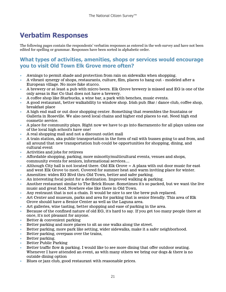# <span id="page-22-0"></span>**Verbatim Responses**

The following pages contain the respondents' verbatim responses as entered in the web survey and have not been edited for spelling or grammar. Responses have been sorted in alphabetic order.

# **What types of activities, amenities, shops or services would encourage you to visit Old Town Elk Grove more often?**

- Awnings to permit shade and protection from rain on sidewalks when shopping.
- A vibrant synergy of shops, restaurants, culture, film, places to hang out modeled after a European village. No more fake stucco.
- A brewery or at least a pub with micro beers. Elk Grove brewery is missed and EG is one of the only areas in Sac Co that does not have a brewery.
- A coffee shop like Starbucks, a wine bar, a park with benches, music events.
- A good restaurant, better walkability to window shop. Irish pub /Bar / dance club, coffee shop, breakfast place
- A high end mall or out door shopping center. Something that resembles the fountains or Galleria in Roseville. We also need local chains and higher end places to eat. Need high end cosmetic service.
- A place for community plays. Right now we have to go into Sacramento for all plays unless one of the local high school's have one!
- A real shopping mall and not a discount outlet mall
- A train station, aka public transportation in the form of rail with busses going to and from, and all around that new transportation hub could be opportunities for shopping, dining, and cultural event
- Activities and jobs for retirees
- Affordable shopping, parking, more minority/multicultural events, venues and shops, community events for seniors, informational services....
- Although City hall is not located there. Old Elk Grove  $= A$  plaza with out door music for east and west Elk Grove to meet. Covered for summer heat and warm inviting place for winter.
- Amenities: widen EG Blvd thru Old Town, better and safer parking.
- An interesting focal point for a destination. Improved walking & parking.
- Another restaurant similar to The Brick House. Sometimes it's so packed, but we want the live music and great food. Nowhere else like there in Old Town.
- Any restraunt that is not a chain. It would be nice to see the brew pub replaced.
- Art Center and museum, parks and area for parking that is senior friendly. This area of Elk Grove should have a Senior Center as well as the Laguna area.
- Art galleries, wine tasting, better shopping and ease of parking in the area.
- Because of the confined nature of old EG, it's hard to say. If you get too many people there at once, it's not pleasant for anyone.
- Better & convenient parking
- Better parking and more places to sit as one walks along the street.
- Better parking, more park like setting, wider sidewalks, make it a safer neighborhood.
- Better parking, overpass over the trains,
- Better parking.
- Better Public Parking
- Better traffic flow & parking. I would like to see more dining that offer outdoor seating. Whenever I have attended an event, as with many others we bring our dogs & there is no outside dining option
- Blues or jazz club, good restaurant with reasonable prices.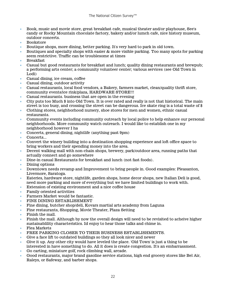- Book, music and movie store, great breakfast cafe, musical theater and/or playhouse, See's candy or Rocky Mountain chocolate factory, bakery and/or lumch cafe, nice history museum, outdoor concerts.
- Bookstore
- Boutique shops, more dining, better parking. It's very hard to park in old town.
- Boutiques and specialty shops with easier  $\&$  more visible parking. Too many spots for parking seem restrictive. Traffic can be troublesome at times
- Breakfast
- Casual but good restaurants for breakfast and lunch; quality dining restaurants and brewpub; a performing arts center; a community volunteer center; various services (see Old Town in Lodi)
- Casual dining, ice cream, coffee
- Casual dining, outdoor activity
- Casual restaurants, local food vendors, a Bakery, farmers market, clean/quality thrift store, community events/ice rink/plaza, HARDWARE STORE!!!
- Casual restaurants. business that are open in the evening
- City puts too Much \$ into Old Town. It is over rated and really is not that historical. The main street is too busy, and crossing the street can be dangerous. Ice skate ring is a total waste of \$
- Clothing stores, neighborhood nursery, shoe stores for men and women, ethnic casual restaurants.
- Community events including community outreach by local police to help enhance our personal neighborhoods. More community watch outreach. I would like to establish one in my neighborhood however I ha
- Concerts, general dining, nightlife (anything past 9pm)
- Concerts...
- Convert the winery building into a destination shopping experience and loft office space to bring workers and their spending money into the area.
- Decent walking mall with non-chain shops, brewery, park/outdoor area, running paths that actually connect and go somewhere
- Dine-in casual Restaurants for breakfast and lunch (not fast foods).
- Dining options
- Downtown needs revamp and Improvement to bring people in. Good examples: Pleasanton, Livermore, Saratoga.
- Eateries, hardware store, nightlife, garden shops, home decor shops, new Italian Deli is good, need more parking and more of everything but we have limited buildings to work with.
- Extension of existing environment and a nice coffee house
- Family oriented activities
- Farmers Market would be fantastic.
- FINE DINING ESTABLISHMENT
- Fine dining, butcher shop/deli, Kovars martial arts academy from Laguna
- Fine restaurants, Shopping, Movie Theater, Plaza Setting
- Finish the mall.
- Finish the mall. Although by now the overall design will need to be revisited to acheive higher sustainablility characteristics. Id enjoy to hear those talks and chime in.
- Flea Markets
- FREE PARKING CLOSER TO THEIR BUSINESS ESTABLISHMENTS.
- Give a face lift to outdated buildings so they all look nicer and newer
- Give it up. Any other city would have leveled the place. 'Old Town' is just a thing to be interested in have something to do. All it does is create congestion. It's an embarrassment.
- Go carting, miniature golf, rock climbing wall, arcade.
- Good restaurants, major brand gasoline service stations, high end grocery stores like Bel Air, Raleys, or Safeway, and barber shops.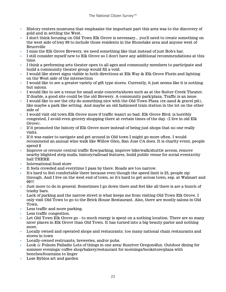- History centers museums that emphasize the important part this area was to the discovery of gold and in settling the West.
- I don't think focusing on Old Town Elk Grove is necessary... you'll need to create something on the west side of hwy 99 to include those residents in the Stonelake area and anyone west of Bruceville
- I miss the Elk Grove Brewery, we need something like that instead of just Bob's bar.
- I still consider myself new to Elk Grove so I don't have any additional recommendations at this time.
- I think a performing arts theater open to all ages and community members to participate and build a community theater group would fill a void.
- I would like street signs visible in both directions at Elk Way & Elk Grove Florin and lighting on the West side of the intersection
- I would like to see a greater variety of gift type stores. Currently, it just seems like it is nothing but salons.
- I would like to see a venue for small scale concerts/shows such as at the Sutter Creek Theater. If doable, a good site could be the old Brewery. A community park/plaza. Traffic is an issue.
- I would like to see the city do something nice with the Old Town Plaza (ex-sand & gravel pit), like maybe a park like setting. And maybe an old fashioned train station in the lot on the other side of
- I would visit old town Elk Grove more if traffic wasn't so bad. Elk Grove Blvd. is horribly congested, I avoid even grocery shopping there at certain times of the day. (I live in old Elk Grove).
- If it promoted the history of Elk Grove more instead of being just shops that no one really visits.
- If it was easier to navigate and get around in Old town I might go more often. I would recommend an annual wine walk like Willow Glen, San Jose CA does. It is charity event, people spend \$
- Improve or reroute central traffic flow/parking, improve bike/walk/shuttle access, remove nearby blighted strip malls, history/railroad features, build public venue for social events/city hall THERE
- International food store
- It feels crowded and everytime I pass by there. Roads are too narrow.
- It's hard to feel comfortable there because even though the speed limit is 25, people zip through. And I live on the west end of town, so it's hard to get across town, esp. at Walmart and 99!!!
- Just more to do in general. Sometimes I go down there and feel like all there is are a bunch of trashy bars.
- Lack of parking and the narrow street is what keeps me from visiting Old Town Elk Grove. I only visit Old Town to go to the Brick House Restaurant. Also, there are mostly salons in Old Town.
- Less traffic and more parking.
- Less traffic congestion.
- Let Old Town Elk Grove go to much energy is spent on a nothing location. There are so many nicer places in Elk Grove than Old Town. It has turned into a big beauty parlor and nothing more.
- Locally owned and operated shops and restaurants. too many national chain restaurants and stores in town
- Locally-owned restruants, breweries, and/or pubs.
- Look @ Folsom Palladio Lots of things in one area/ Sunriver Oregon4fun. Outdoor dining for summer evenings/ coffee shop/bakery/restaurant for mornings/bookstore/plaza with benches/fountains to linger
- Lose Byblos art and garden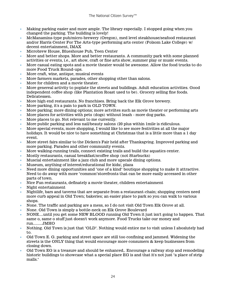- Making parking easier and more ample. The library especially. I stopped going when you changed the parking. The building is lovely!
- McManamins-type pub/micro-brewery (Oregon), med level steakhouse/seafood restaurant and/or Harris Center For The Arts-type performing arts center (Folsom Lake College) w/ decent entertainment, IMAX
- Microbrew House, Blueshouse Pub, Teen Center
- More and better shops. More and better restaurants. A community park with some planned activities or events, i.e., art show, craft or fine arts show, summer play or music events.
- More casual eating spots and a movie theater would be awesome. Allow the food trucks to do more Food Truck Round-ups.
- More craft, wine, antique, musical events
- More farmers markets, parades, other shopping other than salons.
- More for children and a movie theater.
- More genereal activity to poplate the streets and buildings. Adult education activities. Good independent coffee shop (like Plantation Roast used to be). Grocery selling fine foods. Delicatessen.
- More high end restaurants. No franchises. Bring back the Elk Grove brewery.
- More parking, it's a pain to park in OLD TOWN.
- More parking; more dining options; more actviites such as movie theater or performing arts
- More places for activities with pets (dogs) without leash more dog parks.
- More places to go. Not relevant to me currently.
- More public parking and less nail/beauty salons (20 plus within 1mile is ridiculous.
- More special events, more shopping, I would like to see more festivities at all the major holidays. It would be nice to have something at Christmas that is a little more than a 1 day event.
- More street fairs similar to the Dicken's Fair held after Thanksgving. Improved parking and more parking. Parades and other community events.
- More walking-running trails, connect existing trails and build the aquatics center.
- Mostly restaurants, casual breakfast/scoffee shop (not Starbucks)
- Muscial entertainment like a jazz club and more upscale dining options.
- Museum, anything of interest/educational for kids/, plaza
- Need more dining opportunities and "one of a kind" boutique shopping to make it attractive. Need to do away with more "common"storefronts that can be more easily accessed in other parts of town.
- Nice Fun restaurants, definately a movie theater, children entertainment
- Night entertainment
- Nightlife, bars and taverns that are separate from a restaurant-chain; shopping centers need more curb appeal in Old Town; bakeries; an easier place to park so you can walk to various shops.
- None. The traffic and parking are a mess, so I do not visit Old Town Elk Grove at all.
- None. Old Town is simply a bottle-neck on Elk Grove Boulevard
- NONE....until you get some NEW BLOOD running Old Town it just isn't going to happen. That same o, same o stuff just doesn't work anymore. Food Trucks take our money and run.........JMHO
- Nothing. Old Town is just that "OLD". Nothing would entice me to visit unless I aboslutely had to.
- Old Town E. G. parking and street space are still too confining and jammed. Widening the streets is the ONLY thing that would encourage more consumers & keep businesses from closing down.
- Old Town EG is a treasure and should be enhanced,. Encourage a railway stop and remodeling historic buildings to showcase what a special place EG is and that it's not just "a place of strip malls."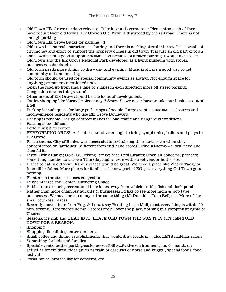- Old Town Elk Grove needs to relocate. Take look at Livermore or Pleasanton each of them have rebuilt their old towns. Elk Grove's Old Town is disrupted by the rail road. There is not enough parking
- Old Town Elk Grove Sucks for parking !!!!
- Old town has no real character, it is boring and there is nothing of real interest. It is a waste of city money and effort to support the property owners in old town. It is just an old part of town
- Old Town is not a good shopping destination because of limited parking. I would like to see Old Town and the Elk Grove Regional Park developed as a living museum with stores, businesses, schools, etc.
- Old town needs more dining to draw day and evening. Music is always a good way to get community out and meeting
- Old town should be used for special community events as always. Not enough space for anything permanent mentioned above.
- Open the road up from single lane to 2 lanes in each direction more off street parking. Congestion now as things stand.
- Other areas of Elk Grove should be the focus of development.
- Outlet shopping like Vacaville. Jcoenney!!! Sears. So we never have to take our business out of EG!!
- Parking is inadequate for large gatherings of people. Large events cause street closures and inconvenience residents who use Elk Grove Boulevard.
- Parking is terrible. Design of street makes for bad traffic and dangerous conditions
- Parking is too difficult
- Performing Arts center
- PERFORMING ARTS!! A theater attractive enough to bring symphonies, ballets and plays to Elk Grove.
- Pick a theme. City of Benica was successful in revitalizing their downtown when they concentrated on "antiques" (different from 2nd hand stores). Find a theme---a local need and then fill it.
- Pistol Firing Range; Golf (i.e. Driving Range; Nice Restaurants; Open air concerts; parades; something like the downtown Thursday nights were with street vendor boths, etc.
- Places to eat in old town, Family places would be great. We need a place like Wacky Tacky or Incredible Johns. More places for families. the new part of EG gets everything Old Town gets nothing.
- Planters in the street causes congestion
- Public Market and Central Gathering Space
- Public tennis courts, recreational bike lanes away from vehicle traffic, fish and dock pond.
- Rather than more chain restaurants & businesses I'd like to see more mom & pop type businesses . We have far too many of the same thing (McDonalds , Taco Bell, ect. More of the small town feel places
- Recently moved here from Rdg. & I must say Redding has a Mall, most everything is within 10 min. driving. Here there's no mall, stores are all over the place, nothing but stopping at lights  $\&$ U-turns
- Seasonal ice rink and THAT IS IT! LEAVE OLD TOWN THE WAY IT IS!! It's called OLD TOWN FOR A REASON.
- Shopping
- Shopping, fine dining, entertainment
- Small coffee and dining establishments that would draw locals in ... also LESS nail/hair salons!
- Something for kids and families.
- Special events, better parking/easier accessibility...festive environment, music, hands on activities for children, rides (such as train or carousel or horse and buggy), special foods, food festival
- Steak house, arts facility for concerts, etc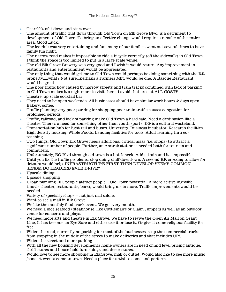- Tear 90% of it down and start over
- The amount of traffic that flows through Old Town on Elk Grove Blvd. is a detriment to development of Old Town. To bring an effective change would require a remake of the entire area. Good Luck.
- The ice rink was very entertaining and fun, many of our families went out several times to have family fun night.
- The narrow road makes it impossible to ride a bicycle correctly (off the sidewalk) in Old Town. I think the space is too limited to put in a large scale venue.
- The old Elk Grove Brewery was very good and I wish it would return. Any improvement in restaurants and entertainment would be appreciated.
- The only thing that would get me to Old Town would perhaps be doing something with the RR property.....what? Not sure...perhaps a Farmers Mkt. would be one. A Basque Restaurant would be great.
- The poor traffic flow caused by narrow streets and train tracks combined with lack of parking in Old Town makes it a nightmare to visit there. I avoid that area at ALL COSTS.
- Theatre, up scale cocktail bar
- They need to be open weekends. All businesses should have similar work hours & days open. Bakery, coffee,
- Traffic planning very poor parking for shopping poor train traffic causes congestion for prolonged periods
- Traffic, railroad, and lack of parking make Old Town a hard sale. Need a destination like a theatre. There's a need for something other than youth sports. EG is a cultural wasteland.
- Transportation hub for light rail and buses. University. Business incubator. Research facilities. High density housing. Whole Foods. Lending facilities for tools. Adult learning thru coteaching.
- Two things. Old Town Elk Grove needs additional critical mass (i.e. shops) to attract a significant number of people. Further, an Amtrak station is needed both for tourists and commuters.
- Unfortunately, EG Blvd through old town is a bottleneck. Add a train and it's impossible.
- Until you fix the traffic problems, stop doing stuff downtown. A second RR crossing to allow for detours would help. INFRASTRUCTURE FIRST THEN DEVELOP SEEMS COMMON SENSE. DO LEADERS EVER DRIVE?
- Upscale dining
- Upscale shopping
- Urban planning 101, people attract people... Old Town potential. A more acitive nightlife (movie theater, restaurants, bars), would bring me in more. Traffic improvements would be needed.
- Variety of specialty shops -- not just nail salons
- Want to see a mall in Elk Grove
- We like the monthly food truck event. We go every month.
- We need a nice seafood / steakhouse, like Cattleman's or Claim Jumpers as well as an outdoor venue for concerts and plays.
- We need more arts and theatre in Elk Grove, We have to revive the Open Air Mall on Grant Line, It has become an Eye Sore and either use it or lose it, Or give it some religious facility for free.
- Widen the road, currently no parking for most of the businesses, stop the commercial trucks from stopping in the middle of the street to make deliveries and that includes UPS
- Widen the street and more parking
- With all the new housing developments home owners are in need of mid level pricing antique, thrift stores and house hold furnishings and decor stores.
- Would love to see more shopping in ElkGrove, mall or outlet. Would also like to see more music /concert events come to town. Need a place for artist to come and perform.